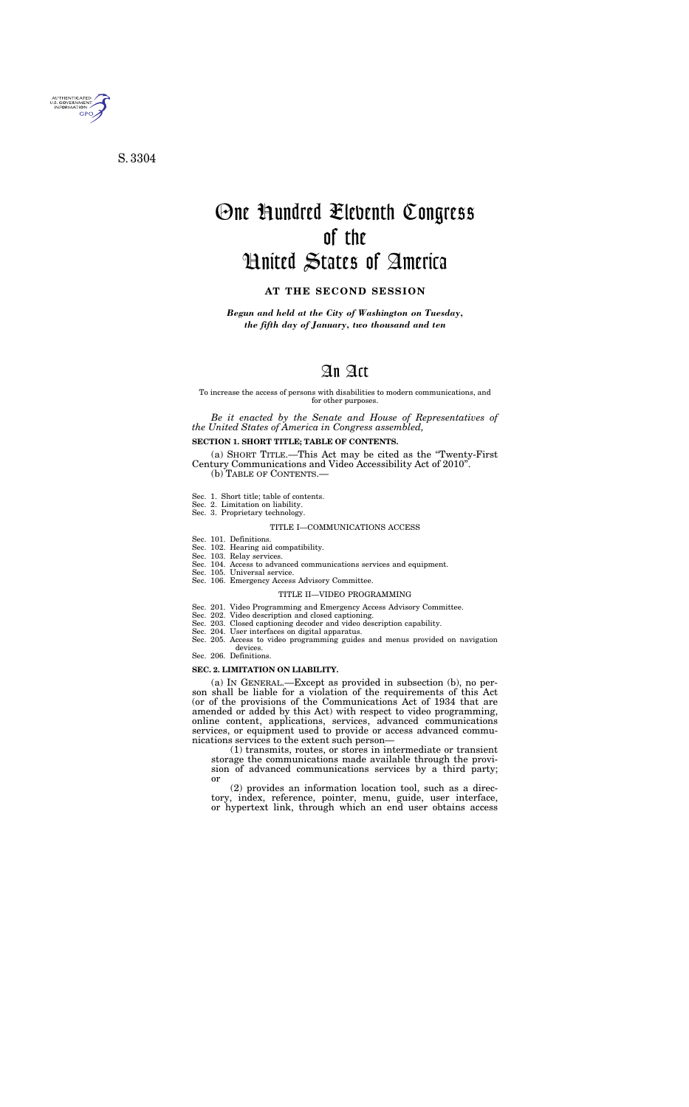# An Act

To increase the access of persons with disabilities to modern communications, and for other purposes.

*Be it enacted by the Senate and House of Representatives of the United States of America in Congress assembled,* 

## **SECTION 1. SHORT TITLE; TABLE OF CONTENTS.**

(a) SHORT TITLE.—This Act may be cited as the ''Twenty-First Century Communications and Video Accessibility Act of 2010''. (b) TABLE OF CONTENTS.—

- Sec. 1. Short title; table of contents.
- Sec. 2. Limitation on liability.
- Sec. 3. Proprietary technology.

## TITLE I—COMMUNICATIONS ACCESS

Sec. 101. Definitions.

- Sec. 102. Hearing aid compatibility.
- Sec. 103. Relay services.
- Sec. 104. Access to advanced communications services and equipment.
- Sec. 105. Universal service.
- Sec. 106. Emergency Access Advisory Committee.

#### TITLE II—VIDEO PROGRAMMING

- Sec. 201. Video Programming and Emergency Access Advisory Committee.
- Sec. 202. Video description and closed captioning.
- Sec. 203. Closed captioning decoder and video description capability.
- Sec. 204. User interfaces on digital apparatus.
- Sec. 205. Access to video programming guides and menus provided on navigation devices.
- Sec. 206. Definitions.

## **SEC. 2. LIMITATION ON LIABILITY.**

(a) IN GENERAL.—Except as provided in subsection (b), no person shall be liable for a violation of the requirements of this Act (or of the provisions of the Communications Act of 1934 that are amended or added by this Act) with respect to video programming, online content, applications, services, advanced communications services, or equipment used to provide or access advanced communications services to the extent such person—

(1) transmits, routes, or stores in intermediate or transient storage the communications made available through the provision of advanced communications services by a third party; or

(2) provides an information location tool, such as a directory, index, reference, pointer, menu, guide, user interface, or hypertext link, through which an end user obtains access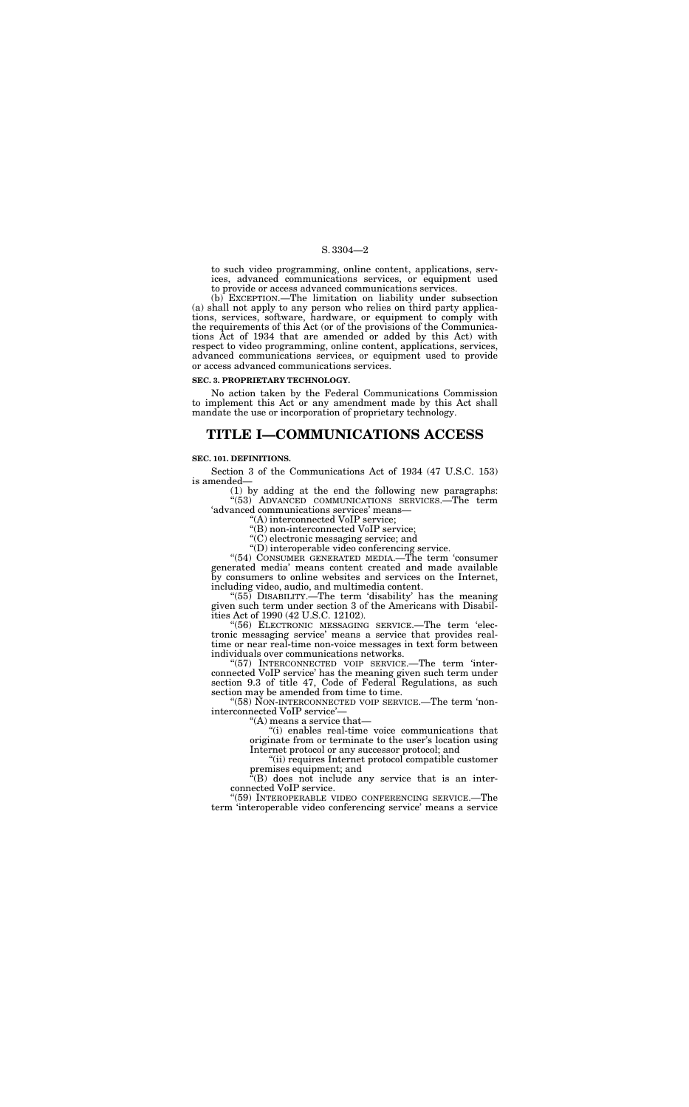to such video programming, online content, applications, services, advanced communications services, or equipment used to provide or access advanced communications services.

(b) EXCEPTION.—The limitation on liability under subsection (a) shall not apply to any person who relies on third party applications, services, software, hardware, or equipment to comply with the requirements of this Act (or of the provisions of the Communications Act of 1934 that are amended or added by this Act) with respect to video programming, online content, applications, services, advanced communications services, or equipment used to provide or access advanced communications services.

#### **SEC. 3. PROPRIETARY TECHNOLOGY.**

No action taken by the Federal Communications Commission to implement this Act or any amendment made by this Act shall mandate the use or incorporation of proprietary technology.

" $(55)$  DISABILITY.—The term 'disability' has the meaning given such term under section 3 of the Americans with Disabilities Act of 1990 (42 U.S.C. 12102).

## **TITLE I—COMMUNICATIONS ACCESS**

## **SEC. 101. DEFINITIONS.**

"(56) ELECTRONIC MESSAGING SERVICE.—The term 'electronic messaging service' means a service that provides realtime or near real-time non-voice messages in text form between individuals over communications networks.

Section 3 of the Communications Act of 1934 (47 U.S.C. 153) is amended—

"(57) INTERCONNECTED VOIP SERVICE.—The term 'interconnected VoIP service' has the meaning given such term under section 9.3 of title 47, Code of Federal Regulations, as such section may be amended from time to time.

''(58) NON-INTERCONNECTED VOIP SERVICE.—The term 'noninterconnected VoIP service'-

(1) by adding at the end the following new paragraphs: ''(53) ADVANCED COMMUNICATIONS SERVICES.—The term 'advanced communications services' means—

''(A) interconnected VoIP service;

''(B) non-interconnected VoIP service;

''(C) electronic messaging service; and

 $\sqrt{H(B)}$  does not include any service that is an interconnected VoIP service.

''(D) interoperable video conferencing service.

''(54) CONSUMER GENERATED MEDIA.—The term 'consumer generated media' means content created and made available by consumers to online websites and services on the Internet, including video, audio, and multimedia content.

''(A) means a service that—

''(i) enables real-time voice communications that originate from or terminate to the user's location using Internet protocol or any successor protocol; and

''(ii) requires Internet protocol compatible customer premises equipment; and

''(59) INTEROPERABLE VIDEO CONFERENCING SERVICE.—The term 'interoperable video conferencing service' means a service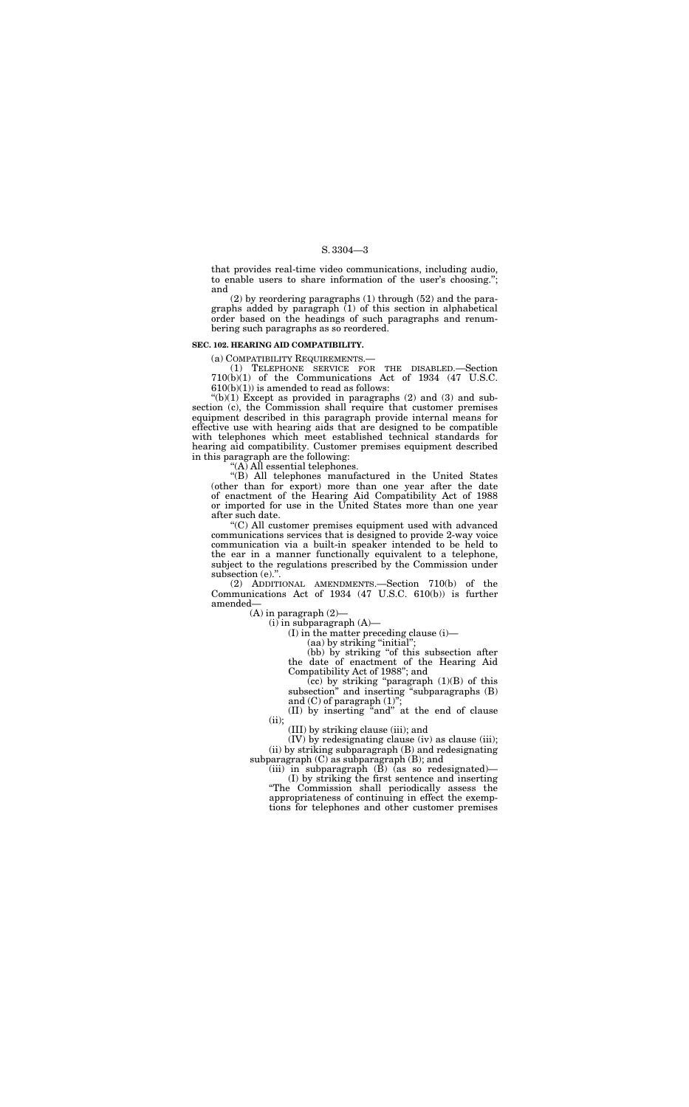that provides real-time video communications, including audio, to enable users to share information of the user's choosing.''; and

(1) TELEPHONE SERVICE FOR THE DISABLED.—Section 710(b)(1) of the Communications Act of 1934 (47 U.S.C.  $610(b)(1)$ ) is amended to read as follows:

(2) by reordering paragraphs (1) through (52) and the paragraphs added by paragraph (1) of this section in alphabetical order based on the headings of such paragraphs and renumbering such paragraphs as so reordered.

#### **SEC. 102. HEARING AID COMPATIBILITY.**

(a) COMPATIBILITY REQUIREMENTS.—

" $(b)(1)$  Except as provided in paragraphs  $(2)$  and  $(3)$  and subsection (c), the Commission shall require that customer premises equipment described in this paragraph provide internal means for effective use with hearing aids that are designed to be compatible with telephones which meet established technical standards for hearing aid compatibility. Customer premises equipment described in this paragraph are the following:

''(C) All customer premises equipment used with advanced communications services that is designed to provide 2-way voice communication via a built-in speaker intended to be held to the ear in a manner functionally equivalent to a telephone, subject to the regulations prescribed by the Commission under subsection (e).".

> (bb) by striking "of this subsection after the date of enactment of the Hearing Aid Compatibility Act of 1988''; and

> $(cc)$  by striking "paragraph  $(1)(B)$  of this subsection" and inserting "subparagraphs (B) and  $(C)$  of paragraph  $(1)$ ";

''(A) All essential telephones.

''(B) All telephones manufactured in the United States (other than for export) more than one year after the date of enactment of the Hearing Aid Compatibility Act of 1988 or imported for use in the United States more than one year after such date.

> $(IV)$  by redesignating clause  $(iv)$  as clause  $(iii)$ ; (ii) by striking subparagraph (B) and redesignating subparagraph (C) as subparagraph (B); and

(2) ADDITIONAL AMENDMENTS.—Section 710(b) of the Communications Act of 1934 (47 U.S.C. 610(b)) is further amended—

(A) in paragraph (2)—

 $(i)$  in subparagraph  $(A)$ —

(I) in the matter preceding clause (i)—

(aa) by striking "initial";

(II) by inserting ''and'' at the end of clause (ii);

(III) by striking clause (iii); and

(iii) in subparagraph (B) (as so redesignated)—

(I) by striking the first sentence and inserting ''The Commission shall periodically assess the appropriateness of continuing in effect the exemptions for telephones and other customer premises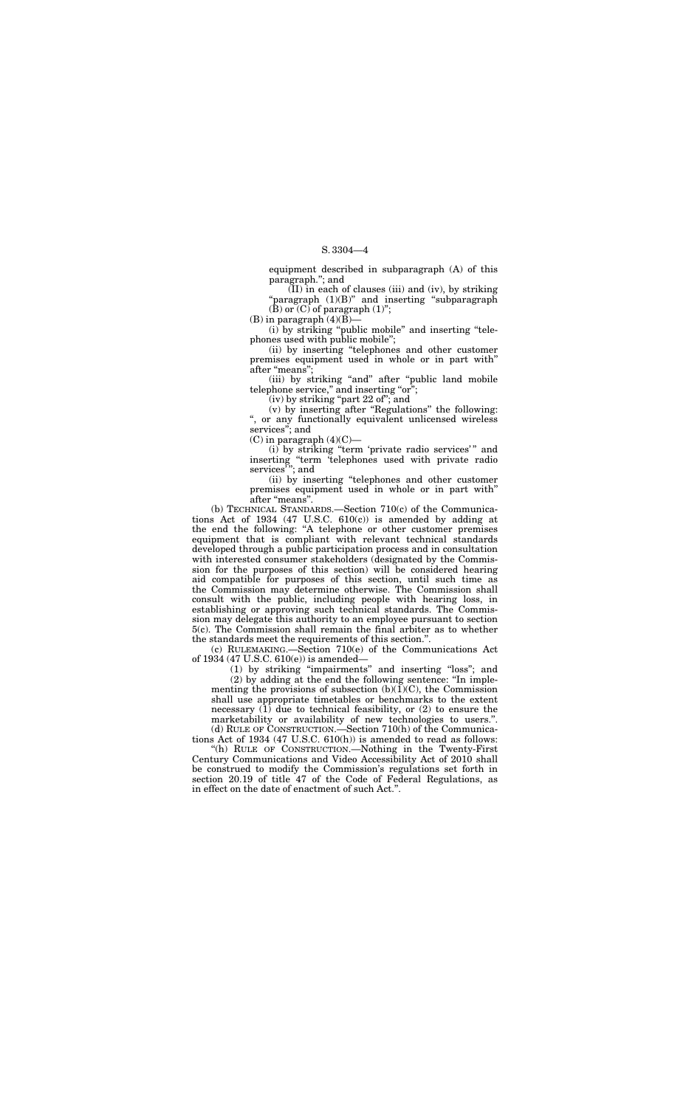(II) in each of clauses (iii) and (iv), by striking "paragraph (1)(B)" and inserting "subparagraph  $(\hat{B})$  or  $(\hat{C})$  of paragraph  $(1)$ ";

 $(B)$  in paragraph  $(4)(B)$ –

equipment described in subparagraph (A) of this paragraph.''; and

(ii) by inserting ''telephones and other customer premises equipment used in whole or in part with'' after "means";

(iii) by striking "and" after "public land mobile telephone service," and inserting "or";

(i) by striking ''public mobile'' and inserting ''telephones used with public mobile'';

(i) by striking "term 'private radio services'" and inserting ''term 'telephones used with private radio services' ''; and

(ii) by inserting ''telephones and other customer premises equipment used in whole or in part with'' after "means".

(iv) by striking ''part 22 of''; and

(v) by inserting after ''Regulations'' the following: '', or any functionally equivalent unlicensed wireless services''; and

 $(C)$  in paragraph  $(4)(C)$ —

(1) by striking ''impairments'' and inserting ''loss''; and (2) by adding at the end the following sentence: ''In implementing the provisions of subsection  $(b)(1)(C)$ , the Commission shall use appropriate timetables or benchmarks to the extent necessary  $(1)$  due to technical feasibility, or  $(2)$  to ensure the marketability or availability of new technologies to users.".

(b) TECHNICAL STANDARDS.—Section 710(c) of the Communications Act of 1934 (47 U.S.C. 610(c)) is amended by adding at the end the following: ''A telephone or other customer premises equipment that is compliant with relevant technical standards developed through a public participation process and in consultation with interested consumer stakeholders (designated by the Commission for the purposes of this section) will be considered hearing aid compatible for purposes of this section, until such time as the Commission may determine otherwise. The Commission shall consult with the public, including people with hearing loss, in establishing or approving such technical standards. The Commission may delegate this authority to an employee pursuant to section 5(c). The Commission shall remain the final arbiter as to whether the standards meet the requirements of this section.''.

(c) RULEMAKING.—Section 710(e) of the Communications Act of 1934 (47 U.S.C. 610(e)) is amended—

(d) RULE OF CONSTRUCTION.—Section 710(h) of the Communications Act of 1934 (47 U.S.C. 610(h)) is amended to read as follows:

''(h) RULE OF CONSTRUCTION.—Nothing in the Twenty-First Century Communications and Video Accessibility Act of 2010 shall be construed to modify the Commission's regulations set forth in section 20.19 of title 47 of the Code of Federal Regulations, as in effect on the date of enactment of such Act.''.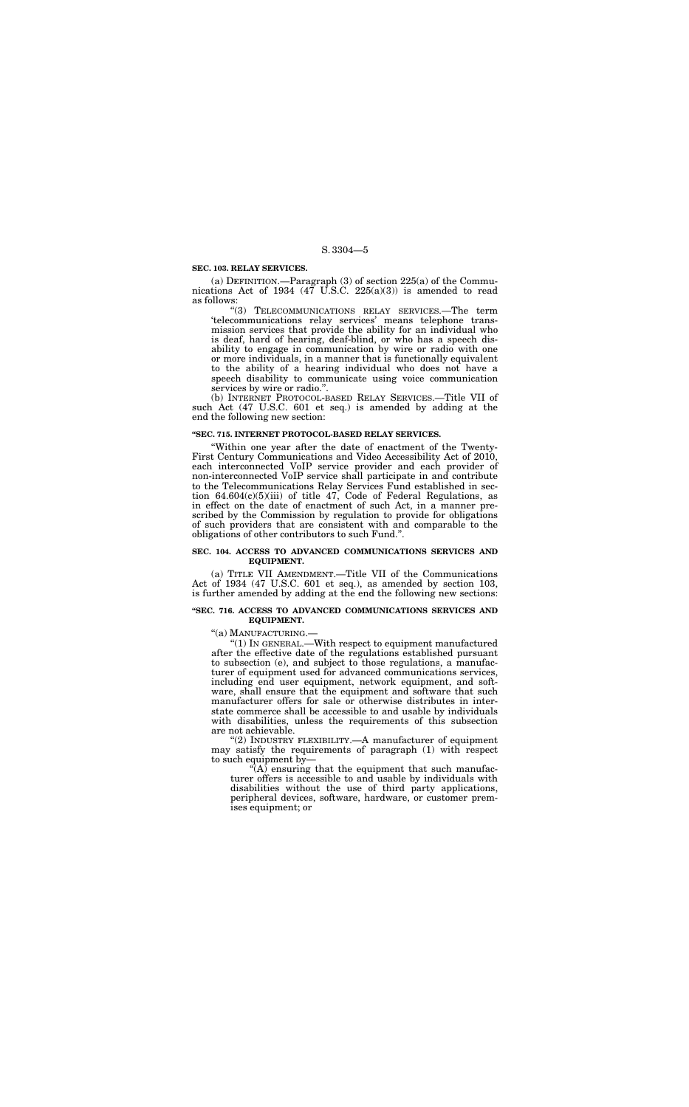## **SEC. 103. RELAY SERVICES.**

(a) DEFINITION.—Paragraph (3) of section 225(a) of the Communications Act of 1934  $(47 \text{ U.S.C. } 225(a)(3))$  is amended to read as follows:

''(3) TELECOMMUNICATIONS RELAY SERVICES.—The term 'telecommunications relay services' means telephone transmission services that provide the ability for an individual who is deaf, hard of hearing, deaf-blind, or who has a speech disability to engage in communication by wire or radio with one or more individuals, in a manner that is functionally equivalent to the ability of a hearing individual who does not have a speech disability to communicate using voice communication services by wire or radio.''.

(b) INTERNET PROTOCOL-BASED RELAY SERVICES.—Title VII of such Act (47 U.S.C. 601 et seq.) is amended by adding at the end the following new section:

#### **''SEC. 715. INTERNET PROTOCOL-BASED RELAY SERVICES.**

''Within one year after the date of enactment of the Twenty-First Century Communications and Video Accessibility Act of 2010, each interconnected VoIP service provider and each provider of non-interconnected VoIP service shall participate in and contribute to the Telecommunications Relay Services Fund established in section 64.604(c)(5)(iii) of title 47, Code of Federal Regulations, as in effect on the date of enactment of such Act, in a manner prescribed by the Commission by regulation to provide for obligations of such providers that are consistent with and comparable to the obligations of other contributors to such Fund.''.

"(2) INDUSTRY FLEXIBILITY.—A manufacturer of equipment may satisfy the requirements of paragraph (1) with respect to such equipment by—

 $\overline{A}$ ) ensuring that the equipment that such manufacturer offers is accessible to and usable by individuals with disabilities without the use of third party applications, peripheral devices, software, hardware, or customer premises equipment; or

#### **SEC. 104. ACCESS TO ADVANCED COMMUNICATIONS SERVICES AND EQUIPMENT.**

(a) TITLE VII AMENDMENT.—Title VII of the Communications Act of 1934 (47 U.S.C. 601 et seq.), as amended by section 103, is further amended by adding at the end the following new sections:

#### **''SEC. 716. ACCESS TO ADVANCED COMMUNICATIONS SERVICES AND EQUIPMENT.**

''(a) MANUFACTURING.—

''(1) IN GENERAL.—With respect to equipment manufactured after the effective date of the regulations established pursuant to subsection (e), and subject to those regulations, a manufacturer of equipment used for advanced communications services, including end user equipment, network equipment, and software, shall ensure that the equipment and software that such manufacturer offers for sale or otherwise distributes in interstate commerce shall be accessible to and usable by individuals with disabilities, unless the requirements of this subsection are not achievable.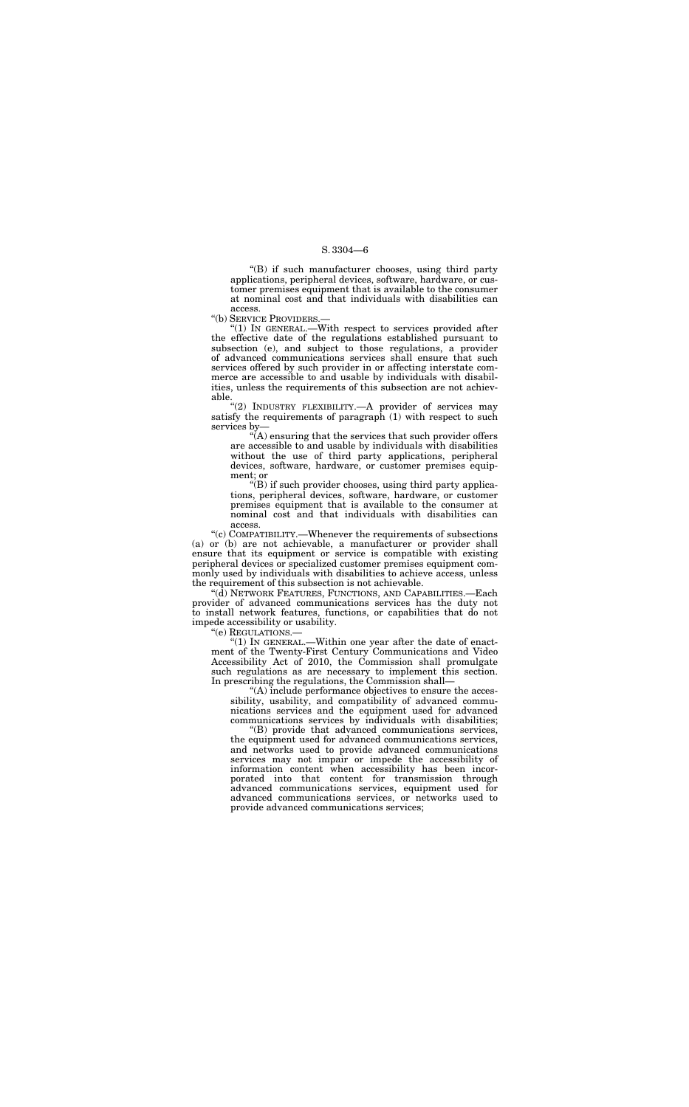''(B) if such manufacturer chooses, using third party applications, peripheral devices, software, hardware, or customer premises equipment that is available to the consumer at nominal cost and that individuals with disabilities can access.

''(b) SERVICE PROVIDERS.—

" $(1)$  In GENERAL.—With respect to services provided after the effective date of the regulations established pursuant to subsection (e), and subject to those regulations, a provider of advanced communications services shall ensure that such services offered by such provider in or affecting interstate commerce are accessible to and usable by individuals with disabilities, unless the requirements of this subsection are not achievable.

"(2) INDUSTRY FLEXIBILITY. - A provider of services may satisfy the requirements of paragraph (1) with respect to such services by—

 $\tilde{H}(A)$  ensuring that the services that such provider offers are accessible to and usable by individuals with disabilities without the use of third party applications, peripheral devices, software, hardware, or customer premises equipment; or

" $(1)$  In GENERAL.—Within one year after the date of enactment of the Twenty-First Century Communications and Video Accessibility Act of 2010, the Commission shall promulgate such regulations as are necessary to implement this section. In prescribing the regulations, the Commission shall—

''(B) if such provider chooses, using third party applications, peripheral devices, software, hardware, or customer premises equipment that is available to the consumer at nominal cost and that individuals with disabilities can access.

''(c) COMPATIBILITY.—Whenever the requirements of subsections (a) or (b) are not achievable, a manufacturer or provider shall ensure that its equipment or service is compatible with existing peripheral devices or specialized customer premises equipment commonly used by individuals with disabilities to achieve access, unless the requirement of this subsection is not achievable.

''(d) NETWORK FEATURES, FUNCTIONS, AND CAPABILITIES.—Each provider of advanced communications services has the duty not to install network features, functions, or capabilities that do not impede accessibility or usability.

''(e) REGULATIONS.—

''(A) include performance objectives to ensure the accessibility, usability, and compatibility of advanced communications services and the equipment used for advanced communications services by individuals with disabilities;

''(B) provide that advanced communications services, the equipment used for advanced communications services, and networks used to provide advanced communications services may not impair or impede the accessibility of information content when accessibility has been incorporated into that content for transmission through advanced communications services, equipment used for advanced communications services, or networks used to provide advanced communications services;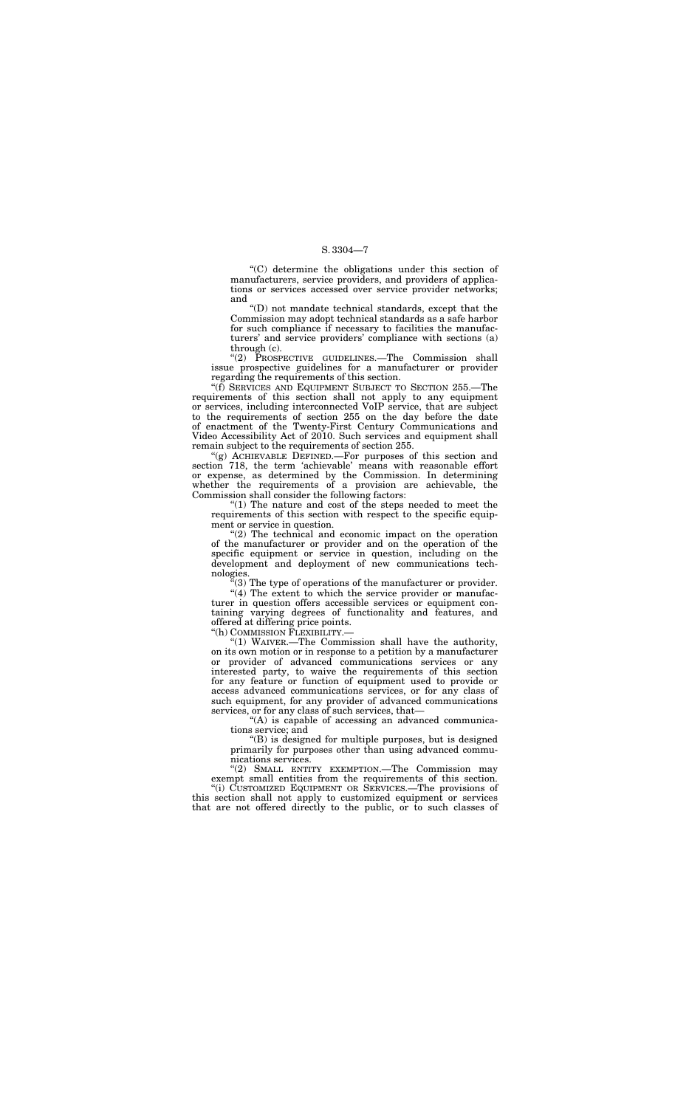''(C) determine the obligations under this section of manufacturers, service providers, and providers of applications or services accessed over service provider networks; and

''(D) not mandate technical standards, except that the Commission may adopt technical standards as a safe harbor for such compliance if necessary to facilities the manufacturers' and service providers' compliance with sections (a) through (c).

''(2) PROSPECTIVE GUIDELINES.—The Commission shall issue prospective guidelines for a manufacturer or provider regarding the requirements of this section.

"(g) ACHIEVABLE DEFINED.—For purposes of this section and section 718, the term 'achievable' means with reasonable effort or expense, as determined by the Commission. In determining whether the requirements of a provision are achievable, the Commission shall consider the following factors:

" $(1)$  The nature and cost of the steps needed to meet the requirements of this section with respect to the specific equipment or service in question.

''(f) SERVICES AND EQUIPMENT SUBJECT TO SECTION 255.—The requirements of this section shall not apply to any equipment or services, including interconnected VoIP service, that are subject to the requirements of section 255 on the day before the date of enactment of the Twenty-First Century Communications and Video Accessibility Act of 2010. Such services and equipment shall remain subject to the requirements of section 255.

 $"(2)$  The technical and economic impact on the operation of the manufacturer or provider and on the operation of the specific equipment or service in question, including on the development and deployment of new communications technologies.

 $\tilde{f}(3)$  The type of operations of the manufacturer or provider.

"(4) The extent to which the service provider or manufacturer in question offers accessible services or equipment containing varying degrees of functionality and features, and offered at differing price points.

"(h) COMMISSION FLEXIBILITY.—

 $(A)$  is capable of accessing an advanced communications service; and

''(1) WAIVER.—The Commission shall have the authority, on its own motion or in response to a petition by a manufacturer or provider of advanced communications services or any interested party, to waive the requirements of this section for any feature or function of equipment used to provide or access advanced communications services, or for any class of such equipment, for any provider of advanced communications services, or for any class of such services, that—

''(B) is designed for multiple purposes, but is designed primarily for purposes other than using advanced communications services.

''(2) SMALL ENTITY EXEMPTION.—The Commission may exempt small entities from the requirements of this section. ''(i) CUSTOMIZED EQUIPMENT OR SERVICES.—The provisions of this section shall not apply to customized equipment or services that are not offered directly to the public, or to such classes of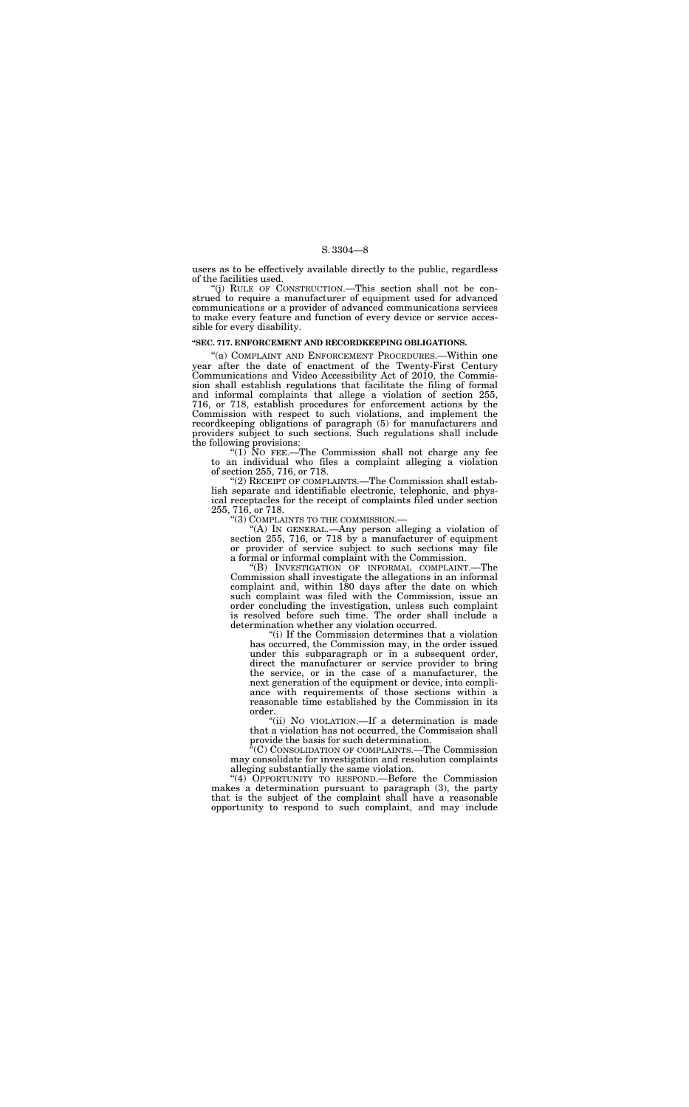users as to be effectively available directly to the public, regardless of the facilities used.

''(j) RULE OF CONSTRUCTION.—This section shall not be construed to require a manufacturer of equipment used for advanced communications or a provider of advanced communications services to make every feature and function of every device or service accessible for every disability.

#### **''SEC. 717. ENFORCEMENT AND RECORDKEEPING OBLIGATIONS.**

"(a) COMPLAINT AND ENFORCEMENT PROCEDURES.—Within one year after the date of enactment of the Twenty-First Century Communications and Video Accessibility Act of 2010, the Commission shall establish regulations that facilitate the filing of formal and informal complaints that allege a violation of section 255, 716, or 718, establish procedures for enforcement actions by the Commission with respect to such violations, and implement the recordkeeping obligations of paragraph (5) for manufacturers and providers subject to such sections. Such regulations shall include the following provisions:

"(1) No FEE.—The Commission shall not charge any fee to an individual who files a complaint alleging a violation of section 255, 716, or 718.

"(2) RECEIPT OF COMPLAINTS.—The Commission shall establish separate and identifiable electronic, telephonic, and physical receptacles for the receipt of complaints filed under section 255, 716, or 718.<br>
"(3) COMPLAINTS TO THE COMMISSION.

"(A) In GENERAL.—Any person alleging a violation of section 255, 716, or 718 by a manufacturer of equipment or provider of service subject to such sections may file a formal or informal complaint with the Commission.

''(ii) NO VIOLATION.—If a determination is made that a violation has not occurred, the Commission shall provide the basis for such determination.

''(B) INVESTIGATION OF INFORMAL COMPLAINT.—The Commission shall investigate the allegations in an informal complaint and, within 180 days after the date on which such complaint was filed with the Commission, issue an order concluding the investigation, unless such complaint is resolved before such time. The order shall include a determination whether any violation occurred.

''(i) If the Commission determines that a violation has occurred, the Commission may, in the order issued under this subparagraph or in a subsequent order, direct the manufacturer or service provider to bring the service, or in the case of a manufacturer, the next generation of the equipment or device, into compliance with requirements of those sections within a reasonable time established by the Commission in its order.

''(C) CONSOLIDATION OF COMPLAINTS.—The Commission may consolidate for investigation and resolution complaints alleging substantially the same violation.

''(4) OPPORTUNITY TO RESPOND.—Before the Commission makes a determination pursuant to paragraph (3), the party that is the subject of the complaint shall have a reasonable opportunity to respond to such complaint, and may include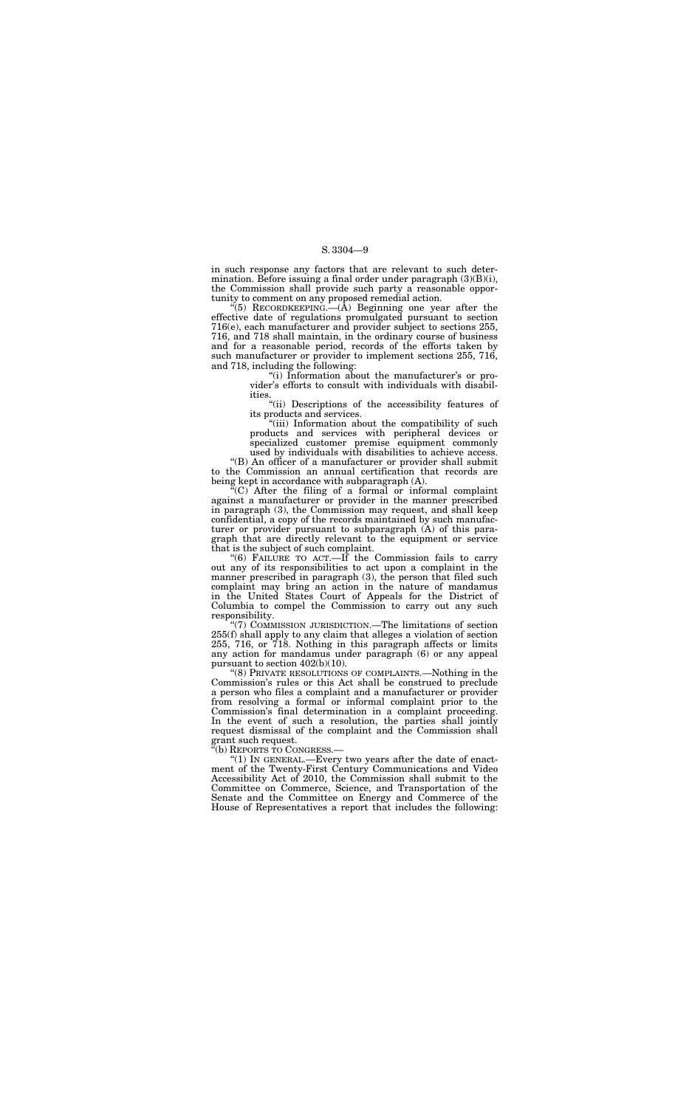in such response any factors that are relevant to such determination. Before issuing a final order under paragraph  $(3)(B)(i)$ , the Commission shall provide such party a reasonable opportunity to comment on any proposed remedial action.

"(5) RECORDKEEPING.— $(\overline{A})$  Beginning one year after the effective date of regulations promulgated pursuant to section 716(e), each manufacturer and provider subject to sections 255, 716, and 718 shall maintain, in the ordinary course of business and for a reasonable period, records of the efforts taken by such manufacturer or provider to implement sections 255, 716, and 718, including the following:

> "(iii) Information about the compatibility of such products and services with peripheral devices or specialized customer premise equipment commonly used by individuals with disabilities to achieve access.

> ''(i) Information about the manufacturer's or provider's efforts to consult with individuals with disabilities.

> ''(ii) Descriptions of the accessibility features of its products and services.

 $\mathbf{H}^{\mu}(\mathbf{C})$  After the filing of a formal or informal complaint against a manufacturer or provider in the manner prescribed in paragraph (3), the Commission may request, and shall keep confidential, a copy of the records maintained by such manufacturer or provider pursuant to subparagraph (A) of this paragraph that are directly relevant to the equipment or service that is the subject of such complaint.

''(B) An officer of a manufacturer or provider shall submit to the Commission an annual certification that records are being kept in accordance with subparagraph (A).

"(1) IN GENERAL.—Every two years after the date of enactment of the Twenty-First Century Communications and Video Accessibility Act of 2010, the Commission shall submit to the Committee on Commerce, Science, and Transportation of the Senate and the Committee on Energy and Commerce of the House of Representatives a report that includes the following:

''(6) FAILURE TO ACT.—If the Commission fails to carry out any of its responsibilities to act upon a complaint in the manner prescribed in paragraph (3), the person that filed such complaint may bring an action in the nature of mandamus in the United States Court of Appeals for the District of Columbia to compel the Commission to carry out any such responsibility.

''(7) COMMISSION JURISDICTION.—The limitations of section 255(f) shall apply to any claim that alleges a violation of section 255, 716, or 718. Nothing in this paragraph affects or limits any action for mandamus under paragraph (6) or any appeal pursuant to section 402(b)(10).

''(8) PRIVATE RESOLUTIONS OF COMPLAINTS.—Nothing in the Commission's rules or this Act shall be construed to preclude a person who files a complaint and a manufacturer or provider from resolving a formal or informal complaint prior to the Commission's final determination in a complaint proceeding. In the event of such a resolution, the parties shall jointly request dismissal of the complaint and the Commission shall grant such request.

''(b) REPORTS TO CONGRESS.—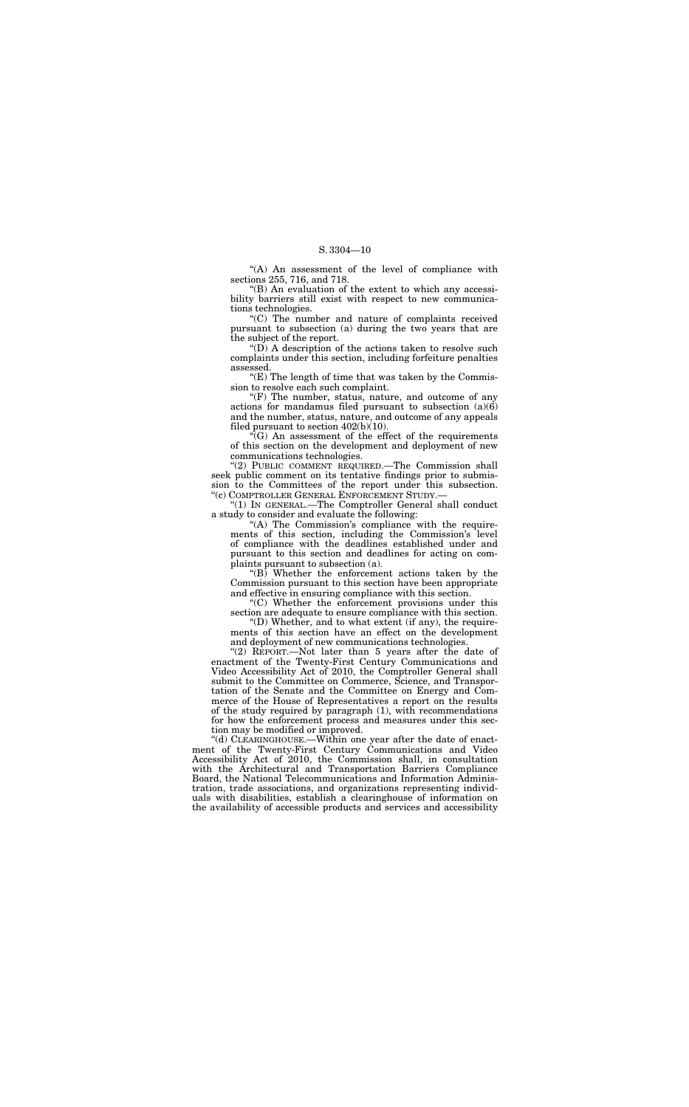''(A) An assessment of the level of compliance with sections 255, 716, and 718.

''(B) An evaluation of the extent to which any accessibility barriers still exist with respect to new communications technologies.

" $(D)$  A description of the actions taken to resolve such complaints under this section, including forfeiture penalties assessed.

 $E(E)$  The length of time that was taken by the Commission to resolve each such complaint.

''(C) The number and nature of complaints received pursuant to subsection (a) during the two years that are the subject of the report.

"(2) PUBLIC COMMENT REQUIRED.—The Commission shall seek public comment on its tentative findings prior to submission to the Committees of the report under this subsection. ''(c) COMPTROLLER GENERAL ENFORCEMENT STUDY.—

''(F) The number, status, nature, and outcome of any actions for mandamus filed pursuant to subsection  $(a)(6)$ and the number, status, nature, and outcome of any appeals filed pursuant to section 402(b)(10).

 $(A)$  The Commission's compliance with the requirements of this section, including the Commission's level of compliance with the deadlines established under and pursuant to this section and deadlines for acting on complaints pursuant to subsection (a).

" $(B)$  Whether the enforcement actions taken by the Commission pursuant to this section have been appropriate and effective in ensuring compliance with this section.

''(G) An assessment of the effect of the requirements of this section on the development and deployment of new communications technologies.

 $\mathrm{``(D)}$  Whether, and to what extent (if any), the requirements of this section have an effect on the development and deployment of new communications technologies.

''(1) IN GENERAL.—The Comptroller General shall conduct a study to consider and evaluate the following:

"(2) REPORT.—Not later than 5 years after the date of enactment of the Twenty-First Century Communications and Video Accessibility Act of 2010, the Comptroller General shall submit to the Committee on Commerce, Science, and Transportation of the Senate and the Committee on Energy and Commerce of the House of Representatives a report on the results of the study required by paragraph (1), with recommendations for how the enforcement process and measures under this section may be modified or improved.

''(C) Whether the enforcement provisions under this section are adequate to ensure compliance with this section.

''(d) CLEARINGHOUSE.—Within one year after the date of enactment of the Twenty-First Century Communications and Video Accessibility Act of 2010, the Commission shall, in consultation with the Architectural and Transportation Barriers Compliance Board, the National Telecommunications and Information Administration, trade associations, and organizations representing individuals with disabilities, establish a clearinghouse of information on the availability of accessible products and services and accessibility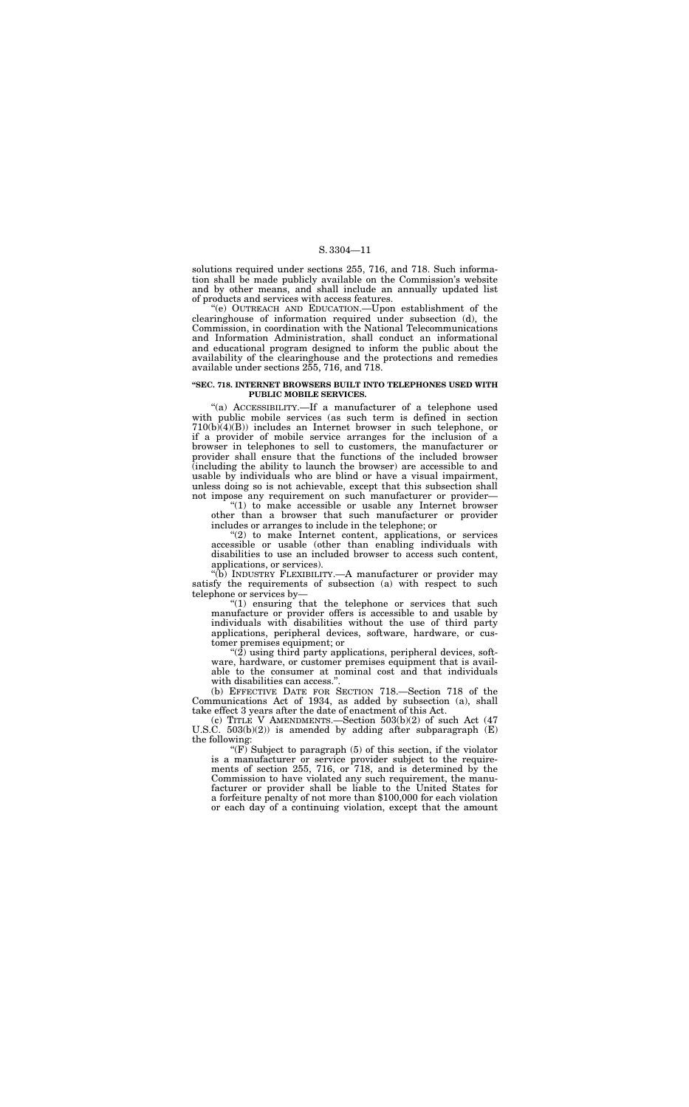solutions required under sections 255, 716, and 718. Such information shall be made publicly available on the Commission's website and by other means, and shall include an annually updated list of products and services with access features.

''(e) OUTREACH AND EDUCATION.—Upon establishment of the clearinghouse of information required under subsection (d), the Commission, in coordination with the National Telecommunications and Information Administration, shall conduct an informational and educational program designed to inform the public about the availability of the clearinghouse and the protections and remedies available under sections 255, 716, and 718.

"(a) ACCESSIBILITY.-If a manufacturer of a telephone used with public mobile services (as such term is defined in section  $710(b)(4)(B)$  includes an Internet browser in such telephone, or if a provider of mobile service arranges for the inclusion of a browser in telephones to sell to customers, the manufacturer or provider shall ensure that the functions of the included browser (including the ability to launch the browser) are accessible to and usable by individuals who are blind or have a visual impairment, unless doing so is not achievable, except that this subsection shall not impose any requirement on such manufacturer or provider—

#### **''SEC. 718. INTERNET BROWSERS BUILT INTO TELEPHONES USED WITH PUBLIC MOBILE SERVICES.**

"(1) to make accessible or usable any Internet browser other than a browser that such manufacturer or provider includes or arranges to include in the telephone; or

"(2) to make Internet content, applications, or services accessible or usable (other than enabling individuals with disabilities to use an included browser to access such content, applications, or services).

"(1) ensuring that the telephone or services that such manufacture or provider offers is accessible to and usable by individuals with disabilities without the use of third party applications, peripheral devices, software, hardware, or customer premises equipment; or

" $(2)$  using third party applications, peripheral devices, software, hardware, or customer premises equipment that is available to the consumer at nominal cost and that individuals with disabilities can access."

(c) TITLE V AMENDMENTS.—Section  $503(b)(2)$  of such Act  $(47)$ U.S.C. 503(b)(2)) is amended by adding after subparagraph (E) the following:

" $(F)$  Subject to paragraph  $(5)$  of this section, if the violator is a manufacturer or service provider subject to the requirements of section 255, 716, or 718, and is determined by the Commission to have violated any such requirement, the manufacturer or provider shall be liable to the United States for a forfeiture penalty of not more than \$100,000 for each violation or each day of a continuing violation, except that the amount

''(b) INDUSTRY FLEXIBILITY.—A manufacturer or provider may satisfy the requirements of subsection (a) with respect to such telephone or services by—

(b) EFFECTIVE DATE FOR SECTION 718.—Section 718 of the Communications Act of 1934, as added by subsection (a), shall take effect 3 years after the date of enactment of this Act.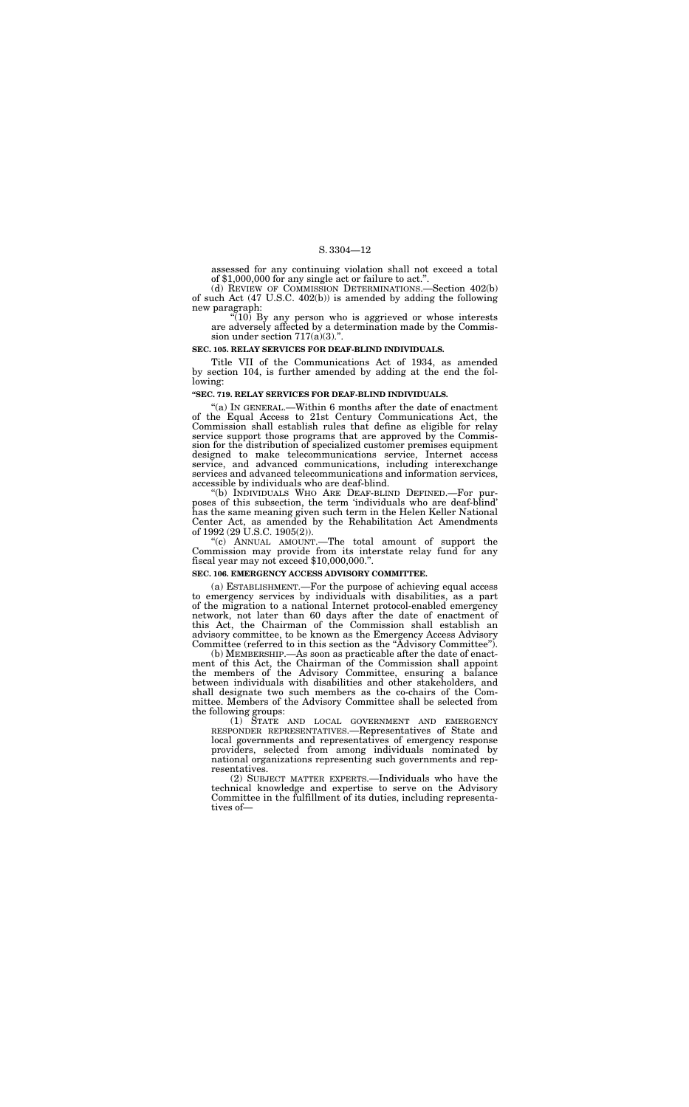assessed for any continuing violation shall not exceed a total of \$1,000,000 for any single act or failure to act.''.

(d) REVIEW OF COMMISSION DETERMINATIONS.—Section 402(b) of such Act (47 U.S.C. 402(b)) is amended by adding the following new paragraph:

 $(10)$  By any person who is aggrieved or whose interests are adversely affected by a determination made by the Commission under section  $717(a)(3)$ .".

#### **SEC. 105. RELAY SERVICES FOR DEAF-BLIND INDIVIDUALS.**

Title VII of the Communications Act of 1934, as amended by section 104, is further amended by adding at the end the following:

#### **''SEC. 719. RELAY SERVICES FOR DEAF-BLIND INDIVIDUALS.**

(a) ESTABLISHMENT.—For the purpose of achieving equal access to emergency services by individuals with disabilities, as a part of the migration to a national Internet protocol-enabled emergency network, not later than 60 days after the date of enactment of this Act, the Chairman of the Commission shall establish an advisory committee, to be known as the Emergency Access Advisory Committee (referred to in this section as the "Advisory Committee").

''(a) IN GENERAL.—Within 6 months after the date of enactment of the Equal Access to 21st Century Communications Act, the Commission shall establish rules that define as eligible for relay service support those programs that are approved by the Commission for the distribution of specialized customer premises equipment designed to make telecommunications service, Internet access service, and advanced communications, including interexchange services and advanced telecommunications and information services, accessible by individuals who are deaf-blind.

''(b) INDIVIDUALS WHO ARE DEAF-BLIND DEFINED.—For purposes of this subsection, the term 'individuals who are deaf-blind' has the same meaning given such term in the Helen Keller National Center Act, as amended by the Rehabilitation Act Amendments of 1992 (29 U.S.C. 1905(2)).

''(c) ANNUAL AMOUNT.—The total amount of support the Commission may provide from its interstate relay fund for any fiscal year may not exceed \$10,000,000.''.

## **SEC. 106. EMERGENCY ACCESS ADVISORY COMMITTEE.**

(b) MEMBERSHIP.—As soon as practicable after the date of enactment of this Act, the Chairman of the Commission shall appoint the members of the Advisory Committee, ensuring a balance between individuals with disabilities and other stakeholders, and shall designate two such members as the co-chairs of the Committee. Members of the Advisory Committee shall be selected from the following groups:

(1) STATE AND LOCAL GOVERNMENT AND EMERGENCY RESPONDER REPRESENTATIVES.—Representatives of State and local governments and representatives of emergency response providers, selected from among individuals nominated by national organizations representing such governments and representatives.

(2) SUBJECT MATTER EXPERTS.—Individuals who have the technical knowledge and expertise to serve on the Advisory Committee in the fulfillment of its duties, including representatives of—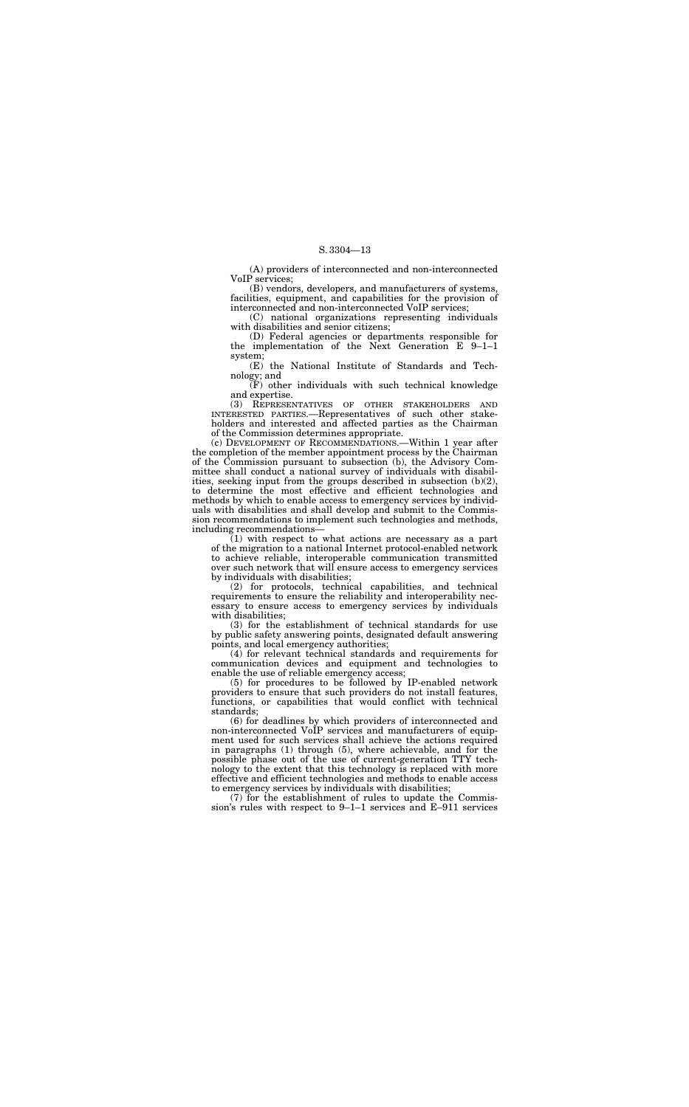(A) providers of interconnected and non-interconnected VoIP services;

(B) vendors, developers, and manufacturers of systems, facilities, equipment, and capabilities for the provision of interconnected and non-interconnected VoIP services;

(C) national organizations representing individuals with disabilities and senior citizens;

(D) Federal agencies or departments responsible for the implementation of the Next Generation E 9–1–1 system;

(E) the National Institute of Standards and Technology; and

(F) other individuals with such technical knowledge and expertise.

(3) REPRESENTATIVES OF OTHER STAKEHOLDERS AND INTERESTED PARTIES.—Representatives of such other stakeholders and interested and affected parties as the Chairman of the Commission determines appropriate.

(c) DEVELOPMENT OF RECOMMENDATIONS.—Within 1 year after the completion of the member appointment process by the Chairman of the Commission pursuant to subsection (b), the Advisory Committee shall conduct a national survey of individuals with disabilities, seeking input from the groups described in subsection (b)(2), to determine the most effective and efficient technologies and methods by which to enable access to emergency services by individuals with disabilities and shall develop and submit to the Commission recommendations to implement such technologies and methods, including recommendations—

(1) with respect to what actions are necessary as a part of the migration to a national Internet protocol-enabled network to achieve reliable, interoperable communication transmitted over such network that will ensure access to emergency services by individuals with disabilities;

(2) for protocols, technical capabilities, and technical requirements to ensure the reliability and interoperability necessary to ensure access to emergency services by individuals with disabilities;

(3) for the establishment of technical standards for use by public safety answering points, designated default answering points, and local emergency authorities;

(4) for relevant technical standards and requirements for communication devices and equipment and technologies to enable the use of reliable emergency access;

(5) for procedures to be followed by IP-enabled network providers to ensure that such providers do not install features, functions, or capabilities that would conflict with technical standards;

(6) for deadlines by which providers of interconnected and non-interconnected VoIP services and manufacturers of equipment used for such services shall achieve the actions required in paragraphs (1) through (5), where achievable, and for the possible phase out of the use of current-generation TTY technology to the extent that this technology is replaced with more effective and efficient technologies and methods to enable access to emergency services by individuals with disabilities;

(7) for the establishment of rules to update the Commission's rules with respect to 9–1–1 services and E–911 services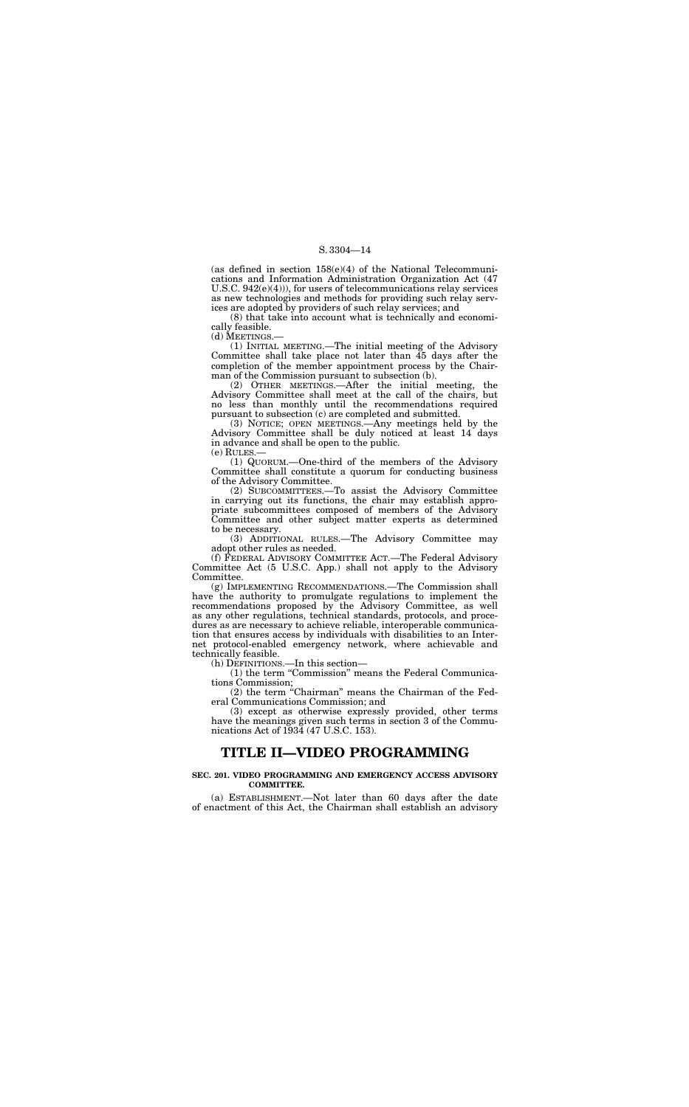(as defined in section  $158(e)(4)$  of the National Telecommunications and Information Administration Organization Act (47 U.S.C. 942(e)(4))), for users of telecommunications relay services as new technologies and methods for providing such relay services are adopted by providers of such relay services; and

(8) that take into account what is technically and economically feasible.

(d) MEETINGS.—

(1) INITIAL MEETING.—The initial meeting of the Advisory Committee shall take place not later than 45 days after the completion of the member appointment process by the Chairman of the Commission pursuant to subsection (b).

(2) OTHER MEETINGS.—After the initial meeting, the Advisory Committee shall meet at the call of the chairs, but no less than monthly until the recommendations required pursuant to subsection (c) are completed and submitted.

(3) NOTICE; OPEN MEETINGS.—Any meetings held by the Advisory Committee shall be duly noticed at least 14 days in advance and shall be open to the public. (e) RULES.—

(1) QUORUM.—One-third of the members of the Advisory Committee shall constitute a quorum for conducting business of the Advisory Committee.

(2) the term "Chairman" means the Chairman of the Federal Communications Commission; and

(2) SUBCOMMITTEES.—To assist the Advisory Committee in carrying out its functions, the chair may establish appropriate subcommittees composed of members of the Advisory Committee and other subject matter experts as determined to be necessary.

(3) ADDITIONAL RULES.—The Advisory Committee may adopt other rules as needed.

(f) FEDERAL ADVISORY COMMITTEE ACT.—The Federal Advisory Committee Act (5 U.S.C. App.) shall not apply to the Advisory Committee.

(g) IMPLEMENTING RECOMMENDATIONS.—The Commission shall have the authority to promulgate regulations to implement the recommendations proposed by the Advisory Committee, as well as any other regulations, technical standards, protocols, and procedures as are necessary to achieve reliable, interoperable communication that ensures access by individuals with disabilities to an Internet protocol-enabled emergency network, where achievable and technically feasible.

(h) DEFINITIONS.—In this section—

(1) the term ''Commission'' means the Federal Communications Commission;

(3) except as otherwise expressly provided, other terms have the meanings given such terms in section 3 of the Communications Act of 1934 (47 U.S.C. 153).

## **TITLE II—VIDEO PROGRAMMING**

## **SEC. 201. VIDEO PROGRAMMING AND EMERGENCY ACCESS ADVISORY COMMITTEE.**

(a) ESTABLISHMENT.—Not later than 60 days after the date of enactment of this Act, the Chairman shall establish an advisory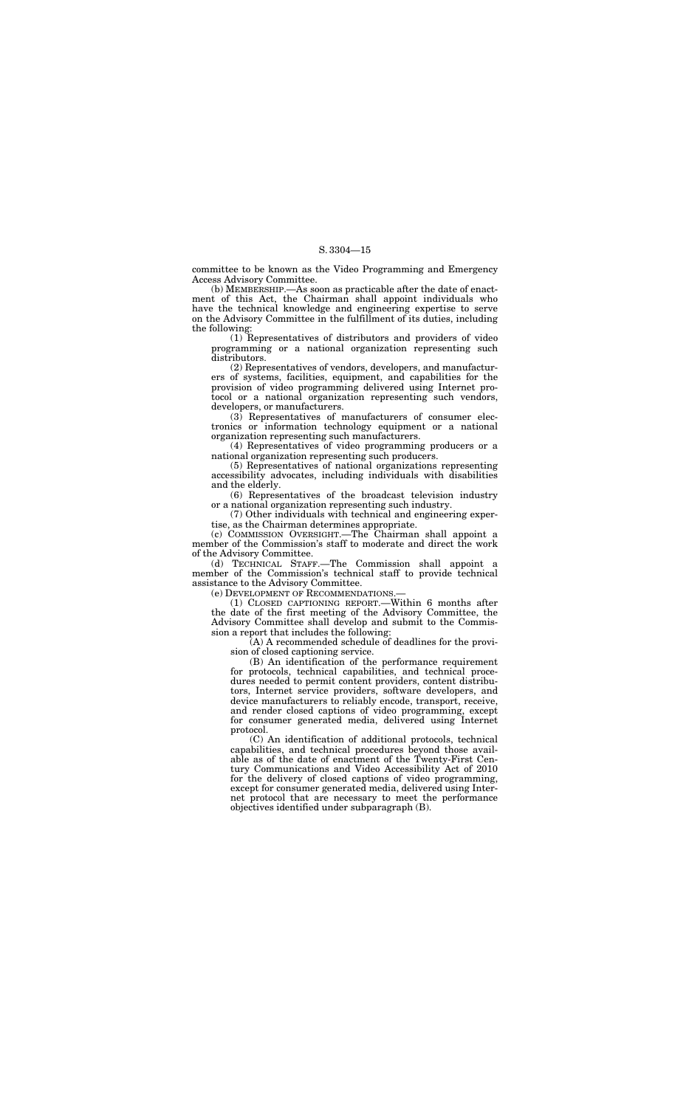committee to be known as the Video Programming and Emergency Access Advisory Committee.

(b) MEMBERSHIP.—As soon as practicable after the date of enactment of this Act, the Chairman shall appoint individuals who have the technical knowledge and engineering expertise to serve on the Advisory Committee in the fulfillment of its duties, including the following:

(1) Representatives of distributors and providers of video programming or a national organization representing such distributors.

(2) Representatives of vendors, developers, and manufacturers of systems, facilities, equipment, and capabilities for the provision of video programming delivered using Internet protocol or a national organization representing such vendors, developers, or manufacturers.

(3) Representatives of manufacturers of consumer electronics or information technology equipment or a national organization representing such manufacturers.

(4) Representatives of video programming producers or a national organization representing such producers.

(5) Representatives of national organizations representing accessibility advocates, including individuals with disabilities and the elderly.

(6) Representatives of the broadcast television industry or a national organization representing such industry.

(7) Other individuals with technical and engineering expertise, as the Chairman determines appropriate.

(c) COMMISSION OVERSIGHT.—The Chairman shall appoint a member of the Commission's staff to moderate and direct the work of the Advisory Committee.

(d) TECHNICAL STAFF.—The Commission shall appoint a member of the Commission's technical staff to provide technical assistance to the Advisory Committee.

(e) DEVELOPMENT OF RECOMMENDATIONS.—

(1) CLOSED CAPTIONING REPORT.—Within 6 months after the date of the first meeting of the Advisory Committee, the Advisory Committee shall develop and submit to the Commission a report that includes the following:

(A) A recommended schedule of deadlines for the provision of closed captioning service.

(B) An identification of the performance requirement for protocols, technical capabilities, and technical procedures needed to permit content providers, content distributors, Internet service providers, software developers, and device manufacturers to reliably encode, transport, receive, and render closed captions of video programming, except for consumer generated media, delivered using Internet protocol.

(C) An identification of additional protocols, technical capabilities, and technical procedures beyond those available as of the date of enactment of the Twenty-First Century Communications and Video Accessibility Act of 2010 for the delivery of closed captions of video programming, except for consumer generated media, delivered using Internet protocol that are necessary to meet the performance objectives identified under subparagraph (B).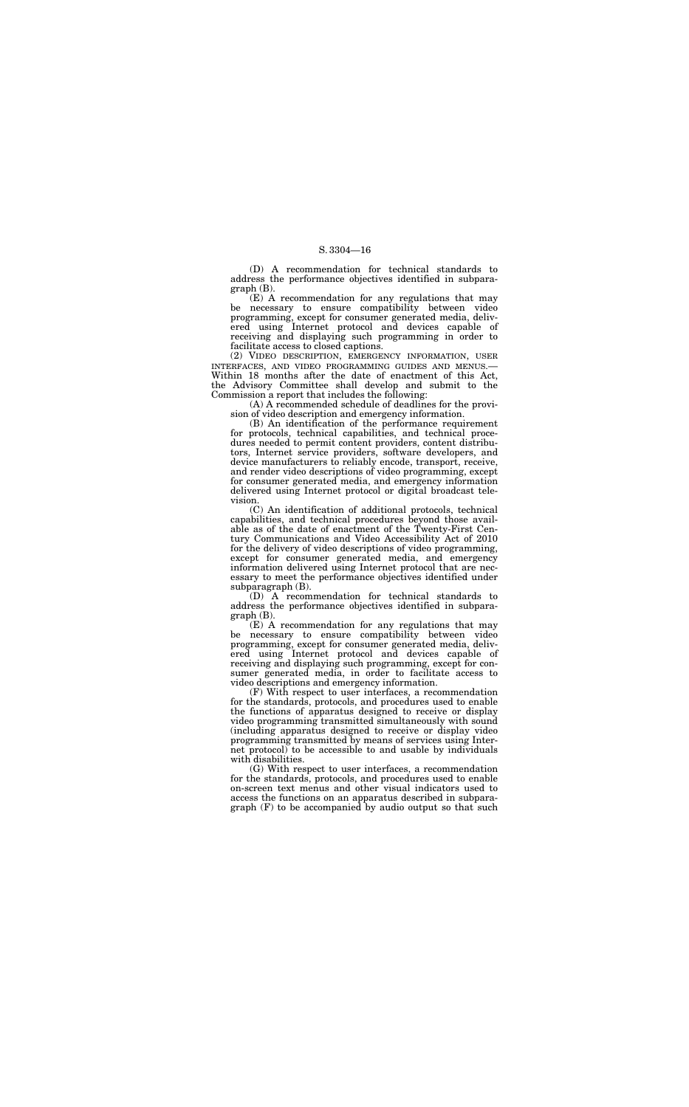(D) A recommendation for technical standards to address the performance objectives identified in subparagraph (B).

(E) A recommendation for any regulations that may be necessary to ensure compatibility between video programming, except for consumer generated media, delivered using Internet protocol and devices capable of receiving and displaying such programming in order to facilitate access to closed captions.

(2) VIDEO DESCRIPTION, EMERGENCY INFORMATION, USER INTERFACES, AND VIDEO PROGRAMMING GUIDES AND MENUS.— Within 18 months after the date of enactment of this Act, the Advisory Committee shall develop and submit to the Commission a report that includes the following:

(A) A recommended schedule of deadlines for the provision of video description and emergency information.

(B) An identification of the performance requirement for protocols, technical capabilities, and technical procedures needed to permit content providers, content distributors, Internet service providers, software developers, and device manufacturers to reliably encode, transport, receive, and render video descriptions of video programming, except for consumer generated media, and emergency information delivered using Internet protocol or digital broadcast television.

(G) With respect to user interfaces, a recommendation for the standards, protocols, and procedures used to enable on-screen text menus and other visual indicators used to access the functions on an apparatus described in subparagraph  $(F)$  to be accompanied by audio output so that such

(C) An identification of additional protocols, technical capabilities, and technical procedures beyond those available as of the date of enactment of the Twenty-First Century Communications and Video Accessibility Act of 2010 for the delivery of video descriptions of video programming, except for consumer generated media, and emergency information delivered using Internet protocol that are necessary to meet the performance objectives identified under subparagraph (B).

(D) A recommendation for technical standards to address the performance objectives identified in subparagraph (B).

(E) A recommendation for any regulations that may be necessary to ensure compatibility between video programming, except for consumer generated media, delivered using Internet protocol and devices capable of receiving and displaying such programming, except for consumer generated media, in order to facilitate access to video descriptions and emergency information.

(F) With respect to user interfaces, a recommendation for the standards, protocols, and procedures used to enable the functions of apparatus designed to receive or display video programming transmitted simultaneously with sound (including apparatus designed to receive or display video programming transmitted by means of services using Internet protocol) to be accessible to and usable by individuals with disabilities.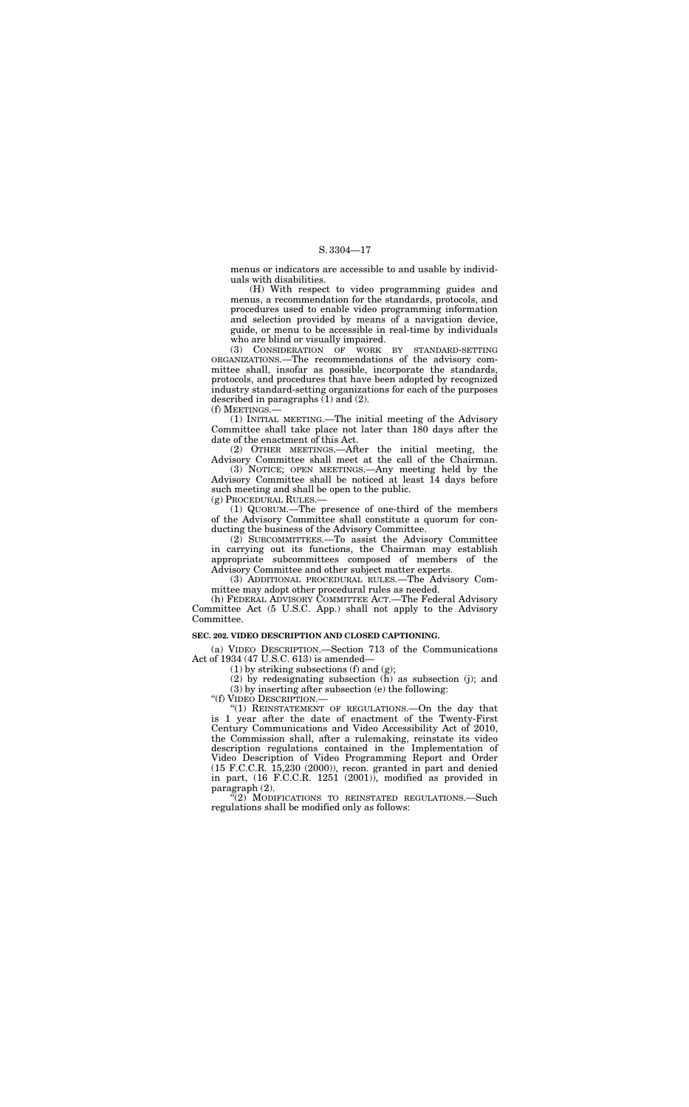menus or indicators are accessible to and usable by individuals with disabilities.

(H) With respect to video programming guides and menus, a recommendation for the standards, protocols, and procedures used to enable video programming information and selection provided by means of a navigation device, guide, or menu to be accessible in real-time by individuals who are blind or visually impaired.

(3) CONSIDERATION OF WORK BY STANDARD-SETTING ORGANIZATIONS.—The recommendations of the advisory committee shall, insofar as possible, incorporate the standards, protocols, and procedures that have been adopted by recognized industry standard-setting organizations for each of the purposes described in paragraphs (1) and (2).

(f) MEETINGS.—

(1) INITIAL MEETING.—The initial meeting of the Advisory Committee shall take place not later than 180 days after the date of the enactment of this Act.

(2) OTHER MEETINGS.—After the initial meeting, the Advisory Committee shall meet at the call of the Chairman.

(3) NOTICE; OPEN MEETINGS.—Any meeting held by the Advisory Committee shall be noticed at least 14 days before such meeting and shall be open to the public.

(g) PROCEDURAL RULES.—

(1) QUORUM.—The presence of one-third of the members of the Advisory Committee shall constitute a quorum for conducting the business of the Advisory Committee.

" $(1)$  REINSTATEMENT OF REGULATIONS.—On the day that is 1 year after the date of enactment of the Twenty-First Century Communications and Video Accessibility Act of 2010, the Commission shall, after a rulemaking, reinstate its video description regulations contained in the Implementation of Video Description of Video Programming Report and Order (15 F.C.C.R. 15,230 (2000)), recon. granted in part and denied in part,  $(16 \text{ F.C.C.R. } 1251 \ (2001))$ , modified as provided in paragraph (2).

"(2) MODIFICATIONS TO REINSTATED REGULATIONS.—Such regulations shall be modified only as follows:

(2) SUBCOMMITTEES.—To assist the Advisory Committee in carrying out its functions, the Chairman may establish appropriate subcommittees composed of members of the Advisory Committee and other subject matter experts.

(3) ADDITIONAL PROCEDURAL RULES.—The Advisory Committee may adopt other procedural rules as needed.

(h) FEDERAL ADVISORY COMMITTEE ACT.—The Federal Advisory Committee Act (5 U.S.C. App.) shall not apply to the Advisory Committee.

#### **SEC. 202. VIDEO DESCRIPTION AND CLOSED CAPTIONING.**

(a) VIDEO DESCRIPTION.—Section 713 of the Communications Act of 1934 (47 U.S.C. 613) is amended—

(1) by striking subsections (f) and (g);

(2) by redesignating subsection (h) as subsection (j); and (3) by inserting after subsection (e) the following:

''(f) VIDEO DESCRIPTION.—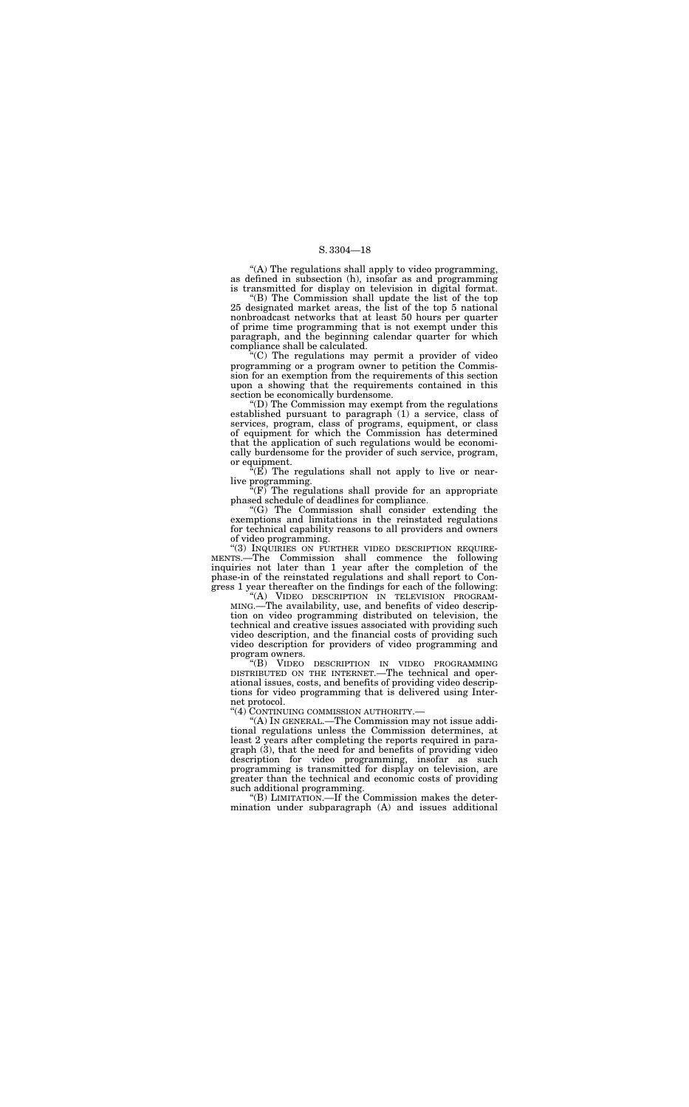''(B) The Commission shall update the list of the top 25 designated market areas, the list of the top 5 national nonbroadcast networks that at least 50 hours per quarter of prime time programming that is not exempt under this paragraph, and the beginning calendar quarter for which compliance shall be calculated.

''(A) The regulations shall apply to video programming, as defined in subsection (h), insofar as and programming is transmitted for display on television in digital format.

 $\mathbf{H}^{\mu}(\mathbf{E})$  The regulations shall not apply to live or nearlive programming.

''(C) The regulations may permit a provider of video programming or a program owner to petition the Commission for an exemption from the requirements of this section upon a showing that the requirements contained in this section be economically burdensome.

 $\sqrt[n]{(F)}$  The regulations shall provide for an appropriate phased schedule of deadlines for compliance.

''(3) INQUIRIES ON FURTHER VIDEO DESCRIPTION REQUIRE- MENTS.—The Commission shall commence the following inquiries not later than 1 year after the completion of the phase-in of the reinstated regulations and shall report to Congress 1 year thereafter on the findings for each of the following:<br>"(A) VIDEO DESCRIPTION IN TELEVISION PROGRAM-

''(D) The Commission may exempt from the regulations established pursuant to paragraph (1) a service, class of services, program, class of programs, equipment, or class of equipment for which the Commission has determined that the application of such regulations would be economically burdensome for the provider of such service, program, or equipment.

''(G) The Commission shall consider extending the exemptions and limitations in the reinstated regulations for technical capability reasons to all providers and owners of video programming.

''(A) VIDEO DESCRIPTION IN TELEVISION PROGRAM- MING.—The availability, use, and benefits of video description on video programming distributed on television, the technical and creative issues associated with providing such video description, and the financial costs of providing such video description for providers of video programming and program owners.

''(B) VIDEO DESCRIPTION IN VIDEO PROGRAMMING DISTRIBUTED ON THE INTERNET.—The technical and operational issues, costs, and benefits of providing video descriptions for video programming that is delivered using Internet protocol.

"(4) CONTINUING COMMISSION AUTHORITY.—

''(A) IN GENERAL.—The Commission may not issue additional regulations unless the Commission determines, at least 2 years after completing the reports required in para $graph(3)$ , that the need for and benefits of providing video description for video programming, insofar as such programming is transmitted for display on television, are greater than the technical and economic costs of providing such additional programming.

''(B) LIMITATION.—If the Commission makes the determination under subparagraph (A) and issues additional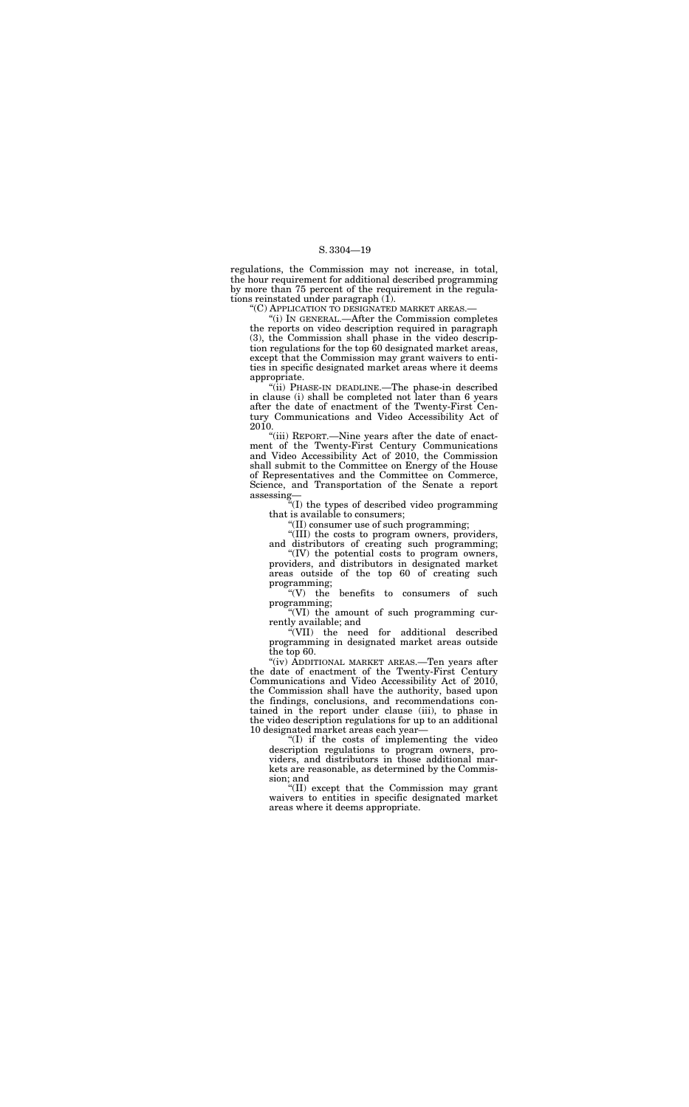regulations, the Commission may not increase, in total, the hour requirement for additional described programming by more than 75 percent of the requirement in the regulations reinstated under paragraph (1).

''(C) APPLICATION TO DESIGNATED MARKET AREAS.—

''(i) IN GENERAL.—After the Commission completes the reports on video description required in paragraph (3), the Commission shall phase in the video description regulations for the top 60 designated market areas, except that the Commission may grant waivers to entities in specific designated market areas where it deems appropriate.

"(iii) REPORT.--Nine years after the date of enactment of the Twenty-First Century Communications and Video Accessibility Act of 2010, the Commission shall submit to the Committee on Energy of the House of Representatives and the Committee on Commerce, Science, and Transportation of the Senate a report assessing—

 $\sqrt[\mu]{(I)}$  the types of described video programming that is available to consumers;

''(ii) PHASE-IN DEADLINE.—The phase-in described in clause (i) shall be completed not later than 6 years after the date of enactment of the Twenty-First Century Communications and Video Accessibility Act of 2010.

benefits to consumers of such programming;

"(VII) the need for additional described programming in designated market areas outside the top 60.

''(II) consumer use of such programming;

''(III) the costs to program owners, providers, and distributors of creating such programming;

"(IV) the potential costs to program owners, providers, and distributors in designated market areas outside of the top 60 of creating such programming;<br>"(V) the

''(VI) the amount of such programming currently available; and

''(iv) ADDITIONAL MARKET AREAS.—Ten years after the date of enactment of the Twenty-First Century Communications and Video Accessibility Act of 2010, the Commission shall have the authority, based upon the findings, conclusions, and recommendations contained in the report under clause (iii), to phase in the video description regulations for up to an additional 10 designated market areas each year—

''(I) if the costs of implementing the video description regulations to program owners, providers, and distributors in those additional markets are reasonable, as determined by the Commission; and

''(II) except that the Commission may grant waivers to entities in specific designated market areas where it deems appropriate.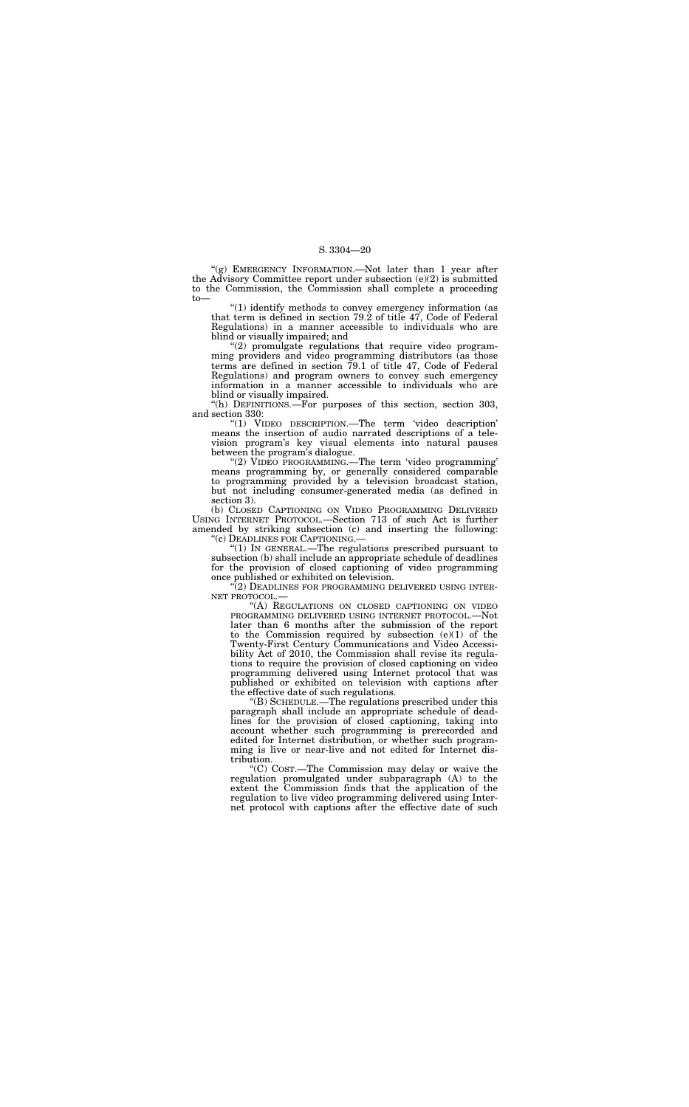''(g) EMERGENCY INFORMATION.—Not later than 1 year after the Advisory Committee report under subsection  $(e)(2)$  is submitted to the Commission, the Commission shall complete a proceeding to—

''(1) identify methods to convey emergency information (as that term is defined in section 79.2 of title 47, Code of Federal Regulations) in a manner accessible to individuals who are blind or visually impaired; and

"(2) promulgate regulations that require video programming providers and video programming distributors (as those terms are defined in section 79.1 of title 47, Code of Federal Regulations) and program owners to convey such emergency information in a manner accessible to individuals who are blind or visually impaired.

''(h) DEFINITIONS.—For purposes of this section, section 303, and section 330:

"(1) IN GENERAL.—The regulations prescribed pursuant to subsection (b) shall include an appropriate schedule of deadlines for the provision of closed captioning of video programming once published or exhibited on television.

(2) DEADLINES FOR PROGRAMMING DELIVERED USING INTER-NET PROTOCOL.— ''(A) REGULATIONS ON CLOSED CAPTIONING ON VIDEO

''(1) VIDEO DESCRIPTION.—The term 'video description' means the insertion of audio narrated descriptions of a television program's key visual elements into natural pauses between the program's dialogue.

''(2) VIDEO PROGRAMMING.—The term 'video programming' means programming by, or generally considered comparable to programming provided by a television broadcast station, but not including consumer-generated media (as defined in section 3).

(b) CLOSED CAPTIONING ON VIDEO PROGRAMMING DELIVERED USING INTERNET PROTOCOL.—Section 713 of such Act is further amended by striking subsection (c) and inserting the following:

> PROGRAMMING DELIVERED USING INTERNET PROTOCOL.—Not later than 6 months after the submission of the report to the Commission required by subsection (e)(1) of the Twenty-First Century Communications and Video Accessibility Act of 2010, the Commission shall revise its regulations to require the provision of closed captioning on video programming delivered using Internet protocol that was published or exhibited on television with captions after the effective date of such regulations.

> ''(B) SCHEDULE.—The regulations prescribed under this paragraph shall include an appropriate schedule of deadlines for the provision of closed captioning, taking into account whether such programming is prerecorded and edited for Internet distribution, or whether such programming is live or near-live and not edited for Internet distribution.

> ''(C) COST.—The Commission may delay or waive the regulation promulgated under subparagraph (A) to the extent the Commission finds that the application of the regulation to live video programming delivered using Internet protocol with captions after the effective date of such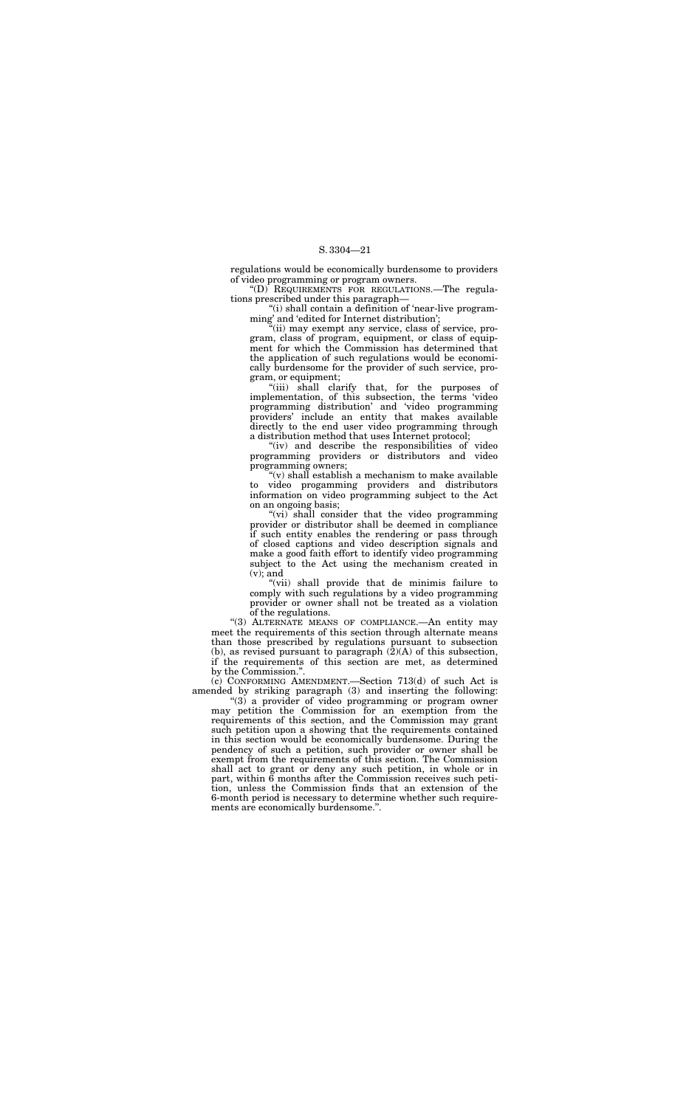regulations would be economically burdensome to providers of video programming or program owners.

''(D) REQUIREMENTS FOR REGULATIONS.—The regulations prescribed under this paragraph—

''(i) shall contain a definition of 'near-live programming' and 'edited for Internet distribution';

"(ii) may exempt any service, class of service, program, class of program, equipment, or class of equipment for which the Commission has determined that the application of such regulations would be economically burdensome for the provider of such service, program, or equipment;

"(iv) and describe the responsibilities of video programming providers or distributors and video programming owners;

''(iii) shall clarify that, for the purposes of implementation, of this subsection, the terms 'video programming distribution' and 'video programming providers' include an entity that makes available directly to the end user video programming through a distribution method that uses Internet protocol;

"(vii) shall provide that de minimis failure to comply with such regulations by a video programming provider or owner shall not be treated as a violation of the regulations.

''(3) ALTERNATE MEANS OF COMPLIANCE.—An entity may meet the requirements of this section through alternate means than those prescribed by regulations pursuant to subsection (b), as revised pursuant to paragraph  $(2)(A)$  of this subsection, if the requirements of this section are met, as determined by the Commission."

''(v) shall establish a mechanism to make available to video progamming providers and distributors information on video programming subject to the Act on an ongoing basis;

"(vi) shall consider that the video programming provider or distributor shall be deemed in compliance if such entity enables the rendering or pass through of closed captions and video description signals and make a good faith effort to identify video programming subject to the Act using the mechanism created in  $(v)$ ; and

"(3) a provider of video programming or program owner may petition the Commission for an exemption from the requirements of this section, and the Commission may grant such petition upon a showing that the requirements contained in this section would be economically burdensome. During the pendency of such a petition, such provider or owner shall be exempt from the requirements of this section. The Commission shall act to grant or deny any such petition, in whole or in part, within  $\tilde{6}$  months after the Commission receives such petition, unless the Commission finds that an extension of the 6-month period is necessary to determine whether such requirements are economically burdensome.''.

(c) CONFORMING AMENDMENT.—Section 713(d) of such Act is amended by striking paragraph (3) and inserting the following: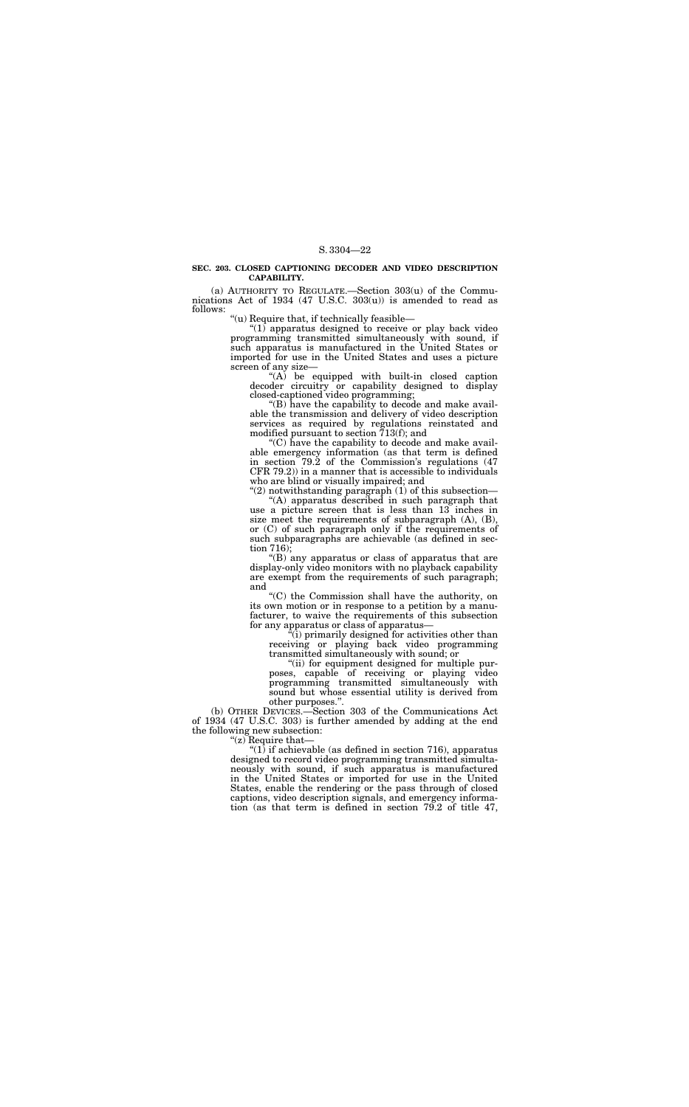#### **SEC. 203. CLOSED CAPTIONING DECODER AND VIDEO DESCRIPTION CAPABILITY.**

(a) AUTHORITY TO REGULATE.—Section 303(u) of the Communications Act of 1934 (47 U.S.C. 303(u)) is amended to read as follows:

''(u) Require that, if technically feasible—

" $(1)$  apparatus designed to receive or play back video programming transmitted simultaneously with sound, if such apparatus is manufactured in the United States or imported for use in the United States and uses a picture screen of any size—

"(A) be equipped with built-in closed caption decoder circuitry or capability designed to display closed-captioned video programming;

 $(C)$  have the capability to decode and make available emergency information (as that term is defined in section 79.2 of the Commission's regulations (47 CFR 79.2)) in a manner that is accessible to individuals who are blind or visually impaired; and

"(2) notwithstanding paragraph (1) of this subsection-''(A) apparatus described in such paragraph that

''(B) have the capability to decode and make available the transmission and delivery of video description services as required by regulations reinstated and modified pursuant to section 713(f); and

 $f(B)$  any apparatus or class of apparatus that are display-only video monitors with no playback capability are exempt from the requirements of such paragraph; and

 $f(i)$  primarily designed for activities other than receiving or playing back video programming transmitted simultaneously with sound; or

use a picture screen that is less than 13 inches in size meet the requirements of subparagraph (A), (B), or (C) of such paragraph only if the requirements of such subparagraphs are achievable (as defined in section 716);

 $(1)$  if achievable (as defined in section 716), apparatus designed to record video programming transmitted simultaneously with sound, if such apparatus is manufactured in the United States or imported for use in the United States, enable the rendering or the pass through of closed captions, video description signals, and emergency information (as that term is defined in section 79.2 of title 47,

''(C) the Commission shall have the authority, on its own motion or in response to a petition by a manufacturer, to waive the requirements of this subsection for any apparatus or class of apparatus—

''(ii) for equipment designed for multiple purposes, capable of receiving or playing video programming transmitted simultaneously with sound but whose essential utility is derived from other purposes.''.

(b) OTHER DEVICES.—Section 303 of the Communications Act of 1934 (47 U.S.C. 303) is further amended by adding at the end the following new subsection:

"(z) Require that-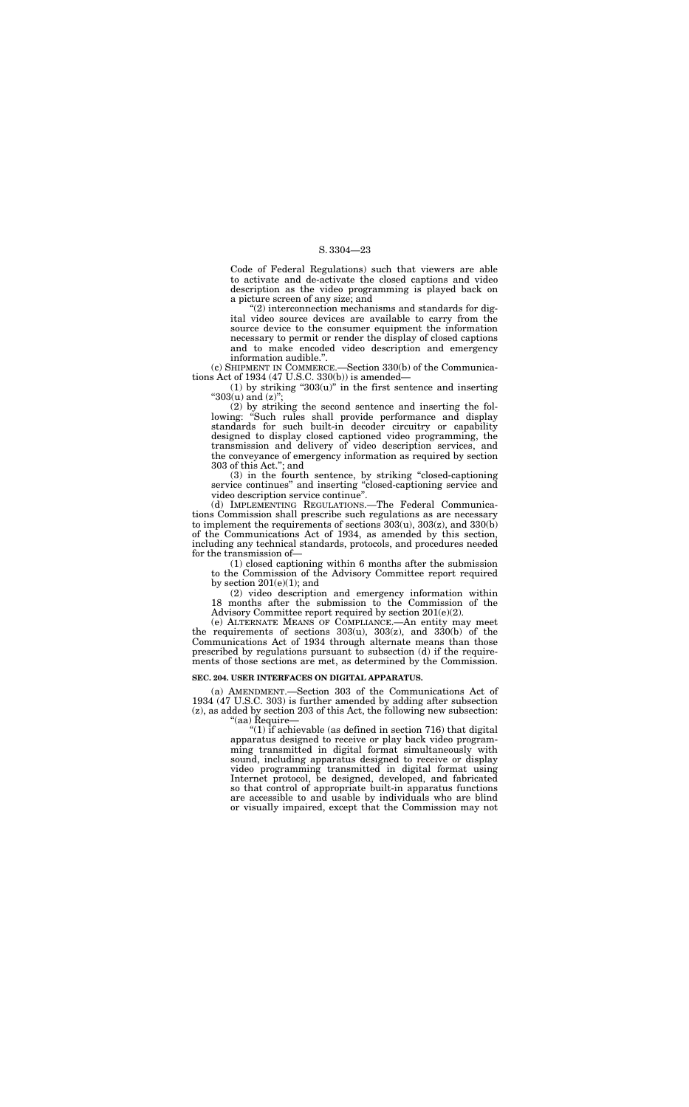Code of Federal Regulations) such that viewers are able to activate and de-activate the closed captions and video description as the video programming is played back on a picture screen of any size; and

 $\degree$ (2) interconnection mechanisms and standards for digital video source devices are available to carry from the source device to the consumer equipment the information necessary to permit or render the display of closed captions and to make encoded video description and emergency information audible.''.

(c) SHIPMENT IN COMMERCE.—Section 330(b) of the Communications Act of 1934 (47 U.S.C. 330(b)) is amended—

(1) by striking " $303(u)$ " in the first sentence and inserting " $303(u)$  and  $(z)$ "

(1) closed captioning within 6 months after the submission to the Commission of the Advisory Committee report required by section  $201(e)(1)$ ; and

(2) by striking the second sentence and inserting the following: "Such rules shall provide performance and display standards for such built-in decoder circuitry or capability designed to display closed captioned video programming, the transmission and delivery of video description services, and the conveyance of emergency information as required by section 303 of this Act.''; and

(3) in the fourth sentence, by striking ''closed-captioning service continues" and inserting "closed-captioning service and video description service continue''.

(d) IMPLEMENTING REGULATIONS.—The Federal Communications Commission shall prescribe such regulations as are necessary to implement the requirements of sections  $303(u)$ ,  $303(z)$ , and  $330(b)$ of the Communications Act of 1934, as amended by this section, including any technical standards, protocols, and procedures needed for the transmission of—

> " $(1)$  if achievable (as defined in section 716) that digital apparatus designed to receive or play back video programming transmitted in digital format simultaneously with sound, including apparatus designed to receive or display video programming transmitted in digital format using Internet protocol, be designed, developed, and fabricated so that control of appropriate built-in apparatus functions are accessible to and usable by individuals who are blind or visually impaired, except that the Commission may not

(2) video description and emergency information within 18 months after the submission to the Commission of the Advisory Committee report required by section 201(e)(2).

(e) ALTERNATE MEANS OF COMPLIANCE.—An entity may meet the requirements of sections  $303(u)$ ,  $303(z)$ , and  $330(b)$  of the Communications Act of 1934 through alternate means than those prescribed by regulations pursuant to subsection (d) if the requirements of those sections are met, as determined by the Commission.

#### **SEC. 204. USER INTERFACES ON DIGITAL APPARATUS.**

(a) AMENDMENT.—Section 303 of the Communications Act of 1934 (47 U.S.C. 303) is further amended by adding after subsection (z), as added by section 203 of this Act, the following new subsection: ''(aa) Require—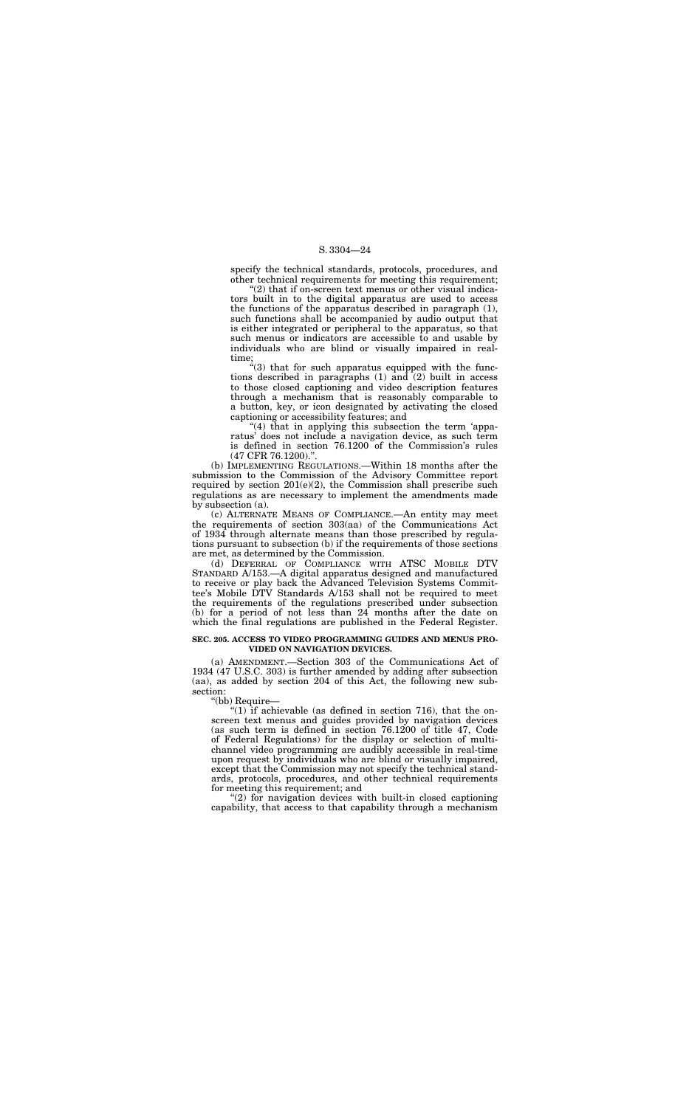specify the technical standards, protocols, procedures, and other technical requirements for meeting this requirement;

" $(2)$  that if on-screen text menus or other visual indicators built in to the digital apparatus are used to access the functions of the apparatus described in paragraph (1), such functions shall be accompanied by audio output that is either integrated or peripheral to the apparatus, so that such menus or indicators are accessible to and usable by individuals who are blind or visually impaired in realtime;

" $(3)$  that for such apparatus equipped with the functions described in paragraphs (1) and (2) built in access to those closed captioning and video description features through a mechanism that is reasonably comparable to a button, key, or icon designated by activating the closed captioning or accessibility features; and

"(4) that in applying this subsection the term 'apparatus' does not include a navigation device, as such term is defined in section 76.1200 of the Commission's rules (47 CFR 76.1200).''.

(b) IMPLEMENTING REGULATIONS.—Within 18 months after the submission to the Commission of the Advisory Committee report required by section 201(e)(2), the Commission shall prescribe such regulations as are necessary to implement the amendments made by subsection (a).

" $(1)$  if achievable (as defined in section 716), that the onscreen text menus and guides provided by navigation devices (as such term is defined in section 76.1200 of title 47, Code of Federal Regulations) for the display or selection of multichannel video programming are audibly accessible in real-time upon request by individuals who are blind or visually impaired, except that the Commission may not specify the technical standards, protocols, procedures, and other technical requirements for meeting this requirement; and

(c) ALTERNATE MEANS OF COMPLIANCE.—An entity may meet the requirements of section 303(aa) of the Communications Act of 1934 through alternate means than those prescribed by regulations pursuant to subsection (b) if the requirements of those sections are met, as determined by the Commission.

 $(2)$  for navigation devices with built-in closed captioning capability, that access to that capability through a mechanism

(d) DEFERRAL OF COMPLIANCE WITH ATSC MOBILE DTV STANDARD A/153.—A digital apparatus designed and manufactured to receive or play back the Advanced Television Systems Committee's Mobile DTV Standards A/153 shall not be required to meet the requirements of the regulations prescribed under subsection (b) for a period of not less than 24 months after the date on which the final regulations are published in the Federal Register.

#### **SEC. 205. ACCESS TO VIDEO PROGRAMMING GUIDES AND MENUS PRO-VIDED ON NAVIGATION DEVICES.**

(a) AMENDMENT.—Section 303 of the Communications Act of 1934 (47 U.S.C. 303) is further amended by adding after subsection (aa), as added by section 204 of this Act, the following new subsection:

''(bb) Require—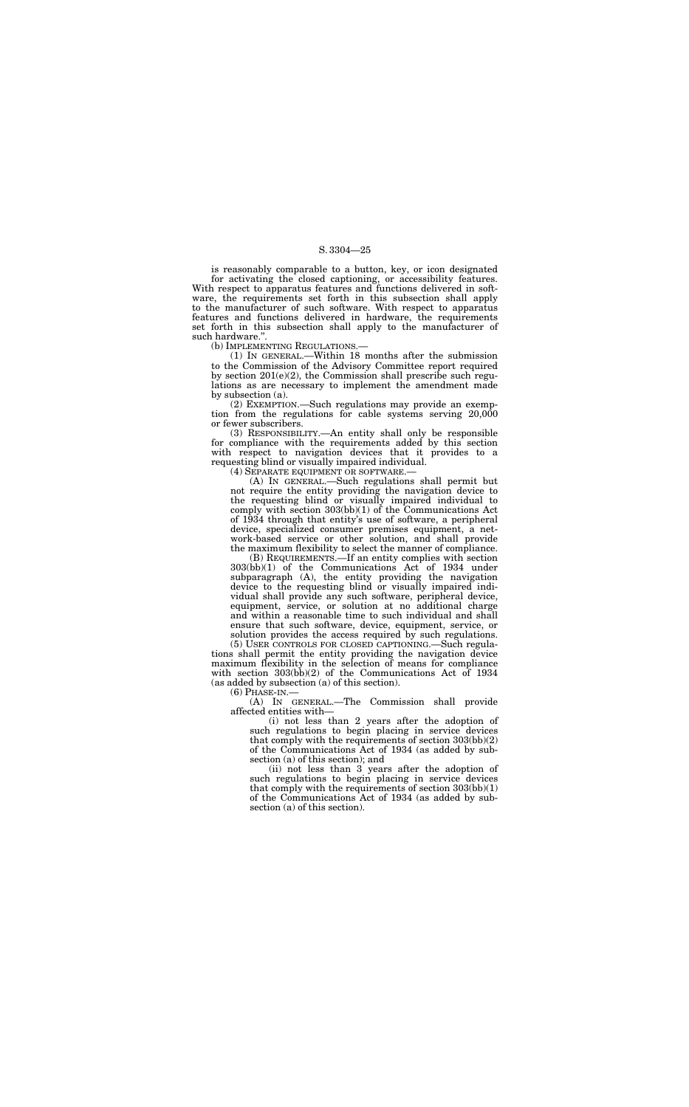is reasonably comparable to a button, key, or icon designated for activating the closed captioning, or accessibility features. With respect to apparatus features and functions delivered in software, the requirements set forth in this subsection shall apply to the manufacturer of such software. With respect to apparatus features and functions delivered in hardware, the requirements set forth in this subsection shall apply to the manufacturer of such hardware.''.

(b) IMPLEMENTING REGULATIONS.—

(1) IN GENERAL.—Within 18 months after the submission to the Commission of the Advisory Committee report required by section  $201(e)(2)$ , the Commission shall prescribe such regulations as are necessary to implement the amendment made by subsection (a).

(B) REQUIREMENTS.—If an entity complies with section 303(bb)(1) of the Communications Act of 1934 under subparagraph (A), the entity providing the navigation device to the requesting blind or visually impaired individual shall provide any such software, peripheral device, equipment, service, or solution at no additional charge and within a reasonable time to such individual and shall ensure that such software, device, equipment, service, or solution provides the access required by such regulations.

(2) EXEMPTION.—Such regulations may provide an exemption from the regulations for cable systems serving 20,000 or fewer subscribers.

(3) RESPONSIBILITY.—An entity shall only be responsible for compliance with the requirements added by this section with respect to navigation devices that it provides to a requesting blind or visually impaired individual.

(5) USER CONTROLS FOR CLOSED CAPTIONING.—Such regulations shall permit the entity providing the navigation device maximum flexibility in the selection of means for compliance with section 303(bb)(2) of the Communications Act of 1934 (as added by subsection (a) of this section).<br>(6) PHASE-IN.—

(4) SEPARATE EQUIPMENT OR SOFTWARE.—

(A) IN GENERAL.—The Commission shall provide affected entities with—

(A) IN GENERAL.—Such regulations shall permit but not require the entity providing the navigation device to the requesting blind or visually impaired individual to comply with section 303(bb)(1) of the Communications Act of 1934 through that entity's use of software, a peripheral device, specialized consumer premises equipment, a network-based service or other solution, and shall provide the maximum flexibility to select the manner of compliance.

(i) not less than 2 years after the adoption of such regulations to begin placing in service devices that comply with the requirements of section 303(bb)(2) of the Communications Act of 1934 (as added by subsection (a) of this section); and

(ii) not less than 3 years after the adoption of such regulations to begin placing in service devices that comply with the requirements of section 303(bb)(1) of the Communications Act of 1934 (as added by subsection (a) of this section).